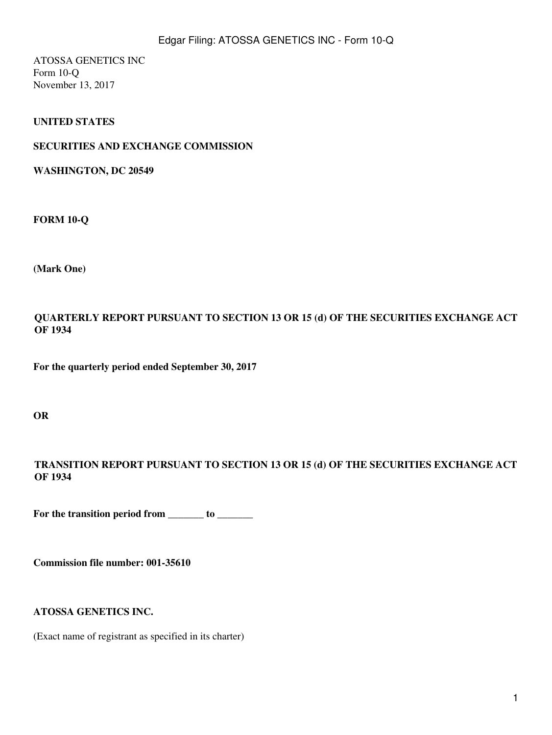ATOSSA GENETICS INC Form 10-Q November 13, 2017

### **UNITED STATES**

#### **SECURITIES AND EXCHANGE COMMISSION**

**WASHINGTON, DC 20549**

**FORM 10-Q**

**(Mark One)**

**QUARTERLY REPORT PURSUANT TO SECTION 13 OR 15 (d) OF THE SECURITIES EXCHANGE ACT OF 1934**

**For the quarterly period ended September 30, 2017**

**OR**

**TRANSITION REPORT PURSUANT TO SECTION 13 OR 15 (d) OF THE SECURITIES EXCHANGE ACT OF 1934**

For the transition period from \_\_\_\_\_\_\_ to \_\_\_\_\_\_\_

**Commission file number: 001-35610**

**ATOSSA GENETICS INC.**

(Exact name of registrant as specified in its charter)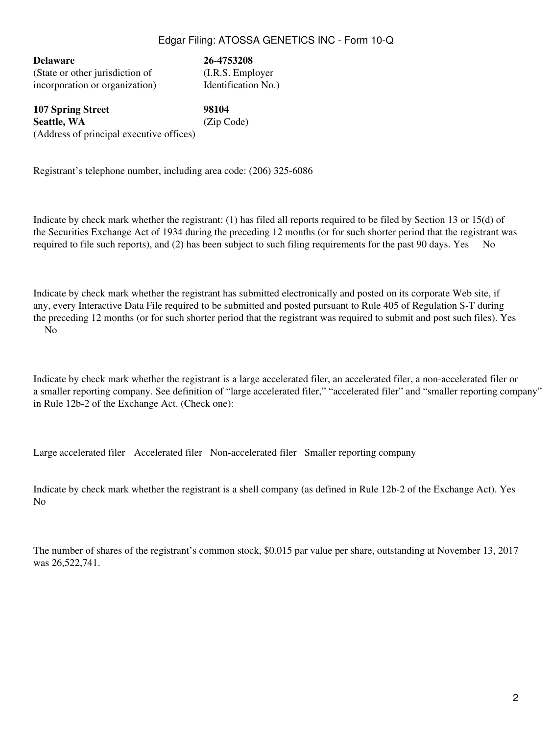**Delaware 26-4753208** (State or other jurisdiction of (I.R.S. Employer incorporation or organization) Identification No.)

**107 Spring Street 98104 Seattle, WA** (Zip Code) (Address of principal executive offices)

Registrant's telephone number, including area code: (206) 325-6086

Indicate by check mark whether the registrant: (1) has filed all reports required to be filed by Section 13 or 15(d) of the Securities Exchange Act of 1934 during the preceding 12 months (or for such shorter period that the registrant was required to file such reports), and (2) has been subject to such filing requirements for the past 90 days. Yes No

Indicate by check mark whether the registrant has submitted electronically and posted on its corporate Web site, if any, every Interactive Data File required to be submitted and posted pursuant to Rule 405 of Regulation S-T during the preceding 12 months (or for such shorter period that the registrant was required to submit and post such files). Yes N<sub>o</sub>

Indicate by check mark whether the registrant is a large accelerated filer, an accelerated filer, a non-accelerated filer or a smaller reporting company. See definition of "large accelerated filer," "accelerated filer" and "smaller reporting company" in Rule 12b-2 of the Exchange Act. (Check one):

Large accelerated filer Accelerated filer Non-accelerated filer Smaller reporting company

Indicate by check mark whether the registrant is a shell company (as defined in Rule 12b-2 of the Exchange Act). Yes N<sub>o</sub>

The number of shares of the registrant's common stock, \$0.015 par value per share, outstanding at November 13, 2017 was 26,522,741.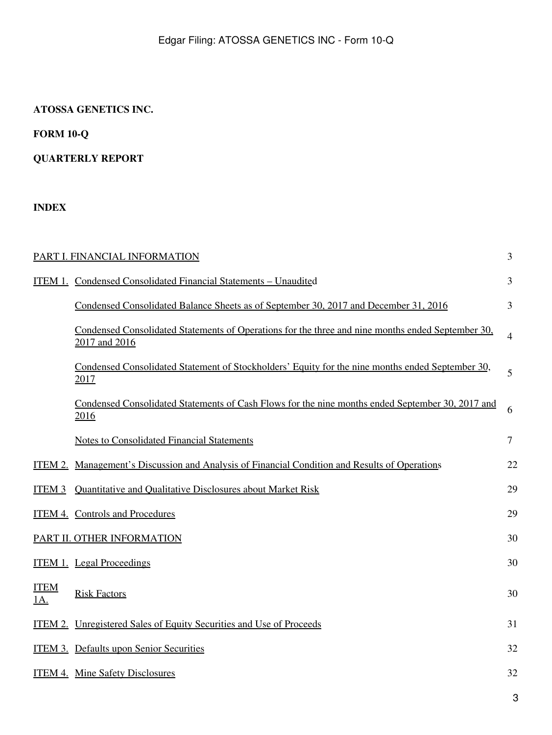# **ATOSSA GENETICS INC.**

# **FORM 10-Q**

# **QUARTERLY REPORT**

# **INDEX**

|                           | PART I. FINANCIAL INFORMATION                                                                                      | 3              |
|---------------------------|--------------------------------------------------------------------------------------------------------------------|----------------|
|                           | ITEM 1. Condensed Consolidated Financial Statements - Unaudited                                                    | 3              |
|                           | Condensed Consolidated Balance Sheets as of September 30, 2017 and December 31, 2016                               | 3              |
|                           | Condensed Consolidated Statements of Operations for the three and nine months ended September 30,<br>2017 and 2016 | $\overline{4}$ |
|                           | Condensed Consolidated Statement of Stockholders' Equity for the nine months ended September 30,<br>2017           | 5              |
|                           | Condensed Consolidated Statements of Cash Flows for the nine months ended September 30, 2017 and<br>2016           | 6              |
|                           | <b>Notes to Consolidated Financial Statements</b>                                                                  | $\tau$         |
| ITEM 2.                   | <u>Management's Discussion and Analysis of Financial Condition and Results of Operations</u>                       | 22             |
| ITEM <sub>3</sub>         | Quantitative and Qualitative Disclosures about Market Risk                                                         | 29             |
|                           | <b>ITEM 4. Controls and Procedures</b>                                                                             | 29             |
|                           | PART II. OTHER INFORMATION                                                                                         | 30             |
|                           | <b>ITEM 1.</b> Legal Proceedings                                                                                   | 30             |
| <b>ITEM</b><br><u>1A.</u> | <b>Risk Factors</b>                                                                                                | 30             |
|                           | ITEM 2. Unregistered Sales of Equity Securities and Use of Proceeds                                                | 31             |
|                           | <b>ITEM 3. Defaults upon Senior Securities</b>                                                                     | 32             |
|                           | <b>ITEM 4. Mine Safety Disclosures</b>                                                                             | 32             |
|                           |                                                                                                                    | 3              |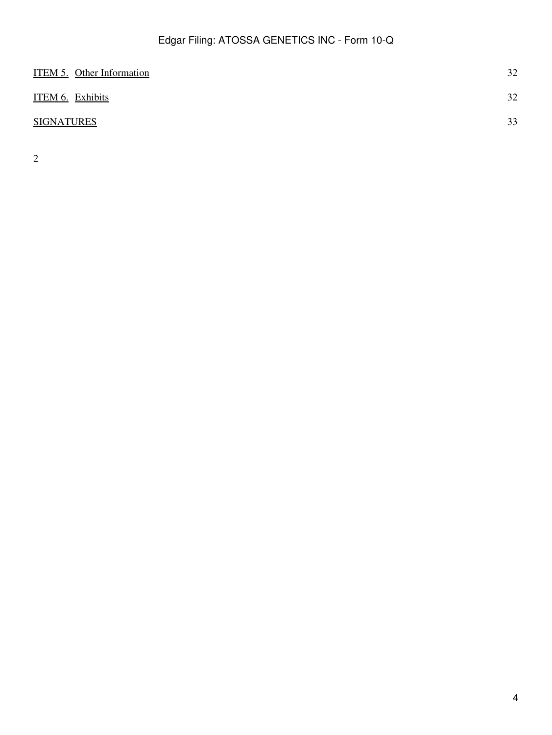| <b>ITEM 5. Other Information</b> | 32 |
|----------------------------------|----|
| ITEM 6. Exhibits                 | 32 |
| <b>SIGNATURES</b>                | 33 |

2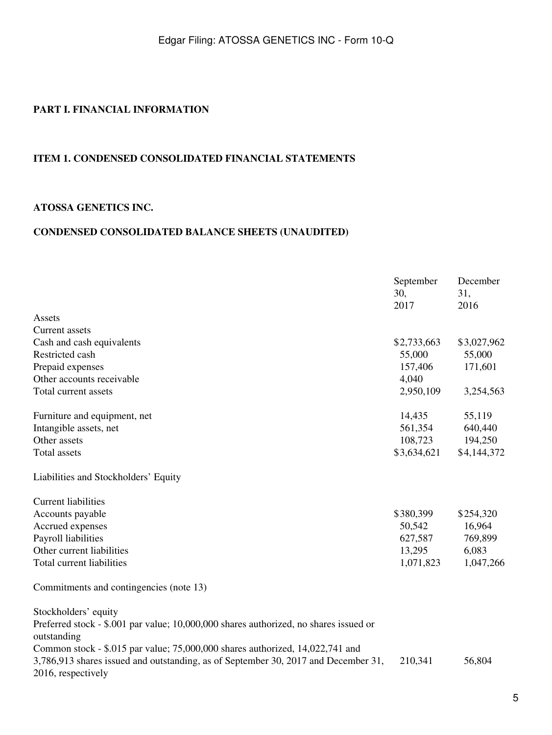## <span id="page-4-0"></span>**PART I. FINANCIAL INFORMATION**

### <span id="page-4-1"></span>**ITEM 1. CONDENSED CONSOLIDATED FINANCIAL STATEMENTS**

#### **ATOSSA GENETICS INC.**

### <span id="page-4-2"></span>**CONDENSED CONSOLIDATED BALANCE SHEETS (UNAUDITED)**

|                                                                                                                                                                                           | September<br>30,<br>2017 | December<br>31,<br>2016 |
|-------------------------------------------------------------------------------------------------------------------------------------------------------------------------------------------|--------------------------|-------------------------|
| Assets                                                                                                                                                                                    |                          |                         |
| Current assets                                                                                                                                                                            |                          |                         |
| Cash and cash equivalents                                                                                                                                                                 | \$2,733,663              | \$3,027,962             |
| Restricted cash                                                                                                                                                                           | 55,000                   | 55,000                  |
| Prepaid expenses                                                                                                                                                                          | 157,406                  | 171,601                 |
| Other accounts receivable                                                                                                                                                                 | 4,040                    |                         |
| Total current assets                                                                                                                                                                      | 2,950,109                | 3,254,563               |
| Furniture and equipment, net                                                                                                                                                              | 14,435                   | 55,119                  |
| Intangible assets, net                                                                                                                                                                    | 561,354                  | 640,440                 |
| Other assets                                                                                                                                                                              | 108,723                  | 194,250                 |
| <b>Total</b> assets                                                                                                                                                                       | \$3,634,621              | \$4,144,372             |
| Liabilities and Stockholders' Equity                                                                                                                                                      |                          |                         |
| <b>Current liabilities</b>                                                                                                                                                                |                          |                         |
| Accounts payable                                                                                                                                                                          | \$380,399                | \$254,320               |
| Accrued expenses                                                                                                                                                                          | 50,542                   | 16,964                  |
| Payroll liabilities                                                                                                                                                                       | 627,587                  | 769,899                 |
| Other current liabilities                                                                                                                                                                 | 13,295                   | 6,083                   |
| Total current liabilities                                                                                                                                                                 | 1,071,823                | 1,047,266               |
| Commitments and contingencies (note 13)                                                                                                                                                   |                          |                         |
| Stockholders' equity<br>Preferred stock - \$.001 par value; 10,000,000 shares authorized, no shares issued or<br>outstanding                                                              |                          |                         |
| Common stock - \$.015 par value; 75,000,000 shares authorized, 14,022,741 and<br>3,786,913 shares issued and outstanding, as of September 30, 2017 and December 31,<br>2016, respectively | 210,341                  | 56,804                  |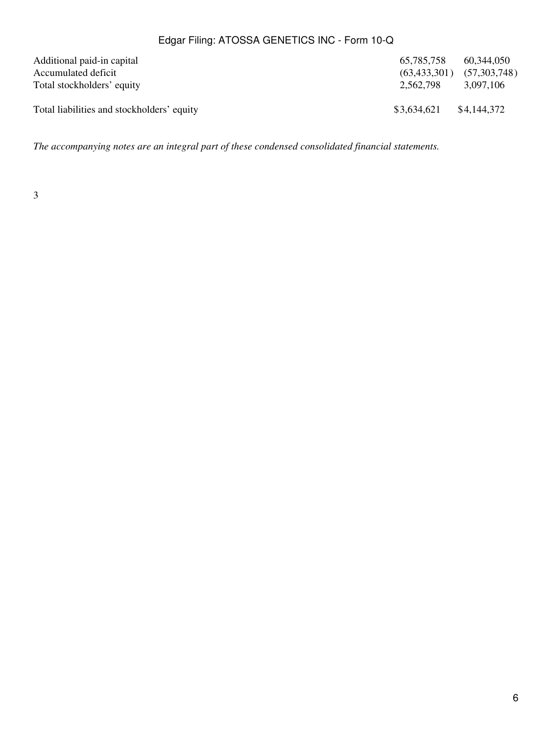| Additional paid-in capital<br>Accumulated deficit | 65.785.758<br>(63, 433, 301) | 60.344.050<br>(57,303,748) |
|---------------------------------------------------|------------------------------|----------------------------|
| Total stockholders' equity                        | 2.562.798                    | 3.097.106                  |
| Total liabilities and stockholders' equity        | \$3,634,621                  | \$4,144,372                |

*The accompanying notes are an integral part of these condensed consolidated financial statements.*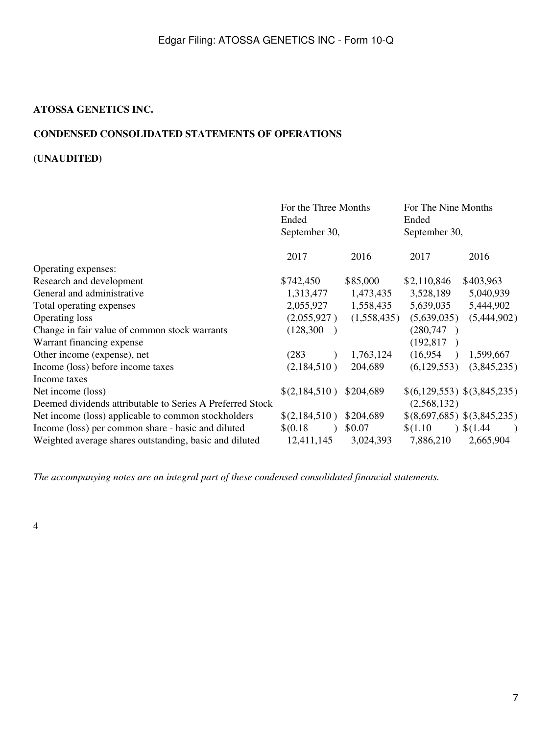### **ATOSSA GENETICS INC.**

## <span id="page-6-0"></span>**CONDENSED CONSOLIDATED STATEMENTS OF OPERATIONS**

## **(UNAUDITED)**

|                                                           | For the Three Months<br>Ended<br>September 30, |             | For The Nine Months<br>Ended<br>September 30, |                        |
|-----------------------------------------------------------|------------------------------------------------|-------------|-----------------------------------------------|------------------------|
|                                                           | 2017                                           | 2016        | 2017                                          | 2016                   |
| Operating expenses:                                       |                                                |             |                                               |                        |
| Research and development                                  | \$742,450                                      | \$85,000    | \$2,110,846                                   | \$403,963              |
| General and administrative                                | 1,313,477                                      | 1,473,435   | 3,528,189                                     | 5,040,939              |
| Total operating expenses                                  | 2,055,927                                      | 1,558,435   | 5,639,035                                     | 5,444,902              |
| Operating loss                                            | (2,055,927)                                    | (1,558,435) | (5,639,035)                                   | (5,444,902)            |
| Change in fair value of common stock warrants             | (128, 300)                                     |             | (280,747)                                     |                        |
| Warrant financing expense                                 |                                                |             | (192, 817)                                    |                        |
| Other income (expense), net                               | (283)                                          | 1,763,124   | (16,954)                                      | 1,599,667              |
| Income (loss) before income taxes                         | (2,184,510)                                    | 204,689     | (6, 129, 553)                                 | (3,845,235)            |
| Income taxes                                              |                                                |             |                                               |                        |
| Net income (loss)                                         | \$(2,184,510)                                  | \$204,689   | \$(6,129,553) \$(3,845,235)                   |                        |
| Deemed dividends attributable to Series A Preferred Stock |                                                |             | (2,568,132)                                   |                        |
| Net income (loss) applicable to common stockholders       | \$(2,184,510)                                  | \$204,689   | \$(8,697,685) \$(3,845,235)                   |                        |
| Income (loss) per common share - basic and diluted        | \$(0.18)                                       | \$0.07      | \$(1.10)                                      | $\frac{1}{2}$ \$(1.44) |
| Weighted average shares outstanding, basic and diluted    | 12,411,145                                     | 3,024,393   | 7,886,210                                     | 2,665,904              |

*The accompanying notes are an integral part of these condensed consolidated financial statements.*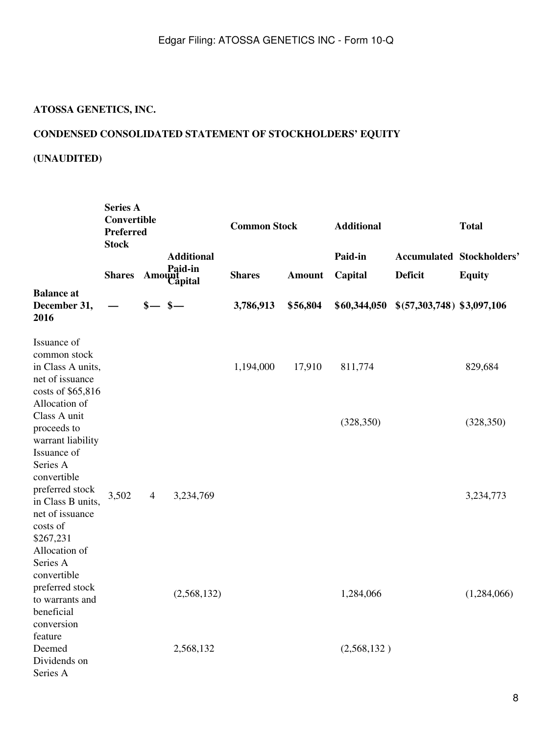# **ATOSSA GENETICS, INC.**

## <span id="page-7-0"></span>**CONDENSED CONSOLIDATED STATEMENT OF STOCKHOLDERS' EQUITY**

## **(UNAUDITED)**

|                                                                                                                              | <b>Series A</b><br>Convertible<br><b>Preferred</b><br><b>Stock</b> |                |                                               |               |               | <b>Common Stock</b> |                                                    | <b>Additional</b> |  | <b>Total</b> |
|------------------------------------------------------------------------------------------------------------------------------|--------------------------------------------------------------------|----------------|-----------------------------------------------|---------------|---------------|---------------------|----------------------------------------------------|-------------------|--|--------------|
|                                                                                                                              | <b>Shares</b>                                                      |                | <b>Additional</b><br><b>Amount</b><br>Capital | <b>Shares</b> | <b>Amount</b> | Paid-in<br>Capital  | <b>Accumulated Stockholders'</b><br><b>Deficit</b> | <b>Equity</b>     |  |              |
| <b>Balance</b> at<br>December 31,<br>2016                                                                                    |                                                                    | $s - s -$      |                                               | 3,786,913     | \$56,804      | \$60,344,050        | \$ (57,303,748) \$3,097,106                        |                   |  |              |
| Issuance of<br>common stock<br>in Class A units,<br>net of issuance<br>costs of \$65,816<br>Allocation of                    |                                                                    |                |                                               | 1,194,000     | 17,910        | 811,774             |                                                    | 829,684           |  |              |
| Class A unit<br>proceeds to<br>warrant liability<br>Issuance of<br>Series A<br>convertible                                   |                                                                    |                |                                               |               |               | (328, 350)          |                                                    | (328, 350)        |  |              |
| preferred stock<br>in Class B units,<br>net of issuance<br>costs of<br>\$267,231<br>Allocation of<br>Series A<br>convertible | 3,502                                                              | $\overline{4}$ | 3,234,769                                     |               |               |                     |                                                    | 3,234,773         |  |              |
| preferred stock<br>to warrants and<br>beneficial<br>conversion<br>feature                                                    |                                                                    |                | (2,568,132)                                   |               |               | 1,284,066           |                                                    | (1,284,066)       |  |              |
| Deemed<br>Dividends on<br>Series A                                                                                           |                                                                    |                | 2,568,132                                     |               |               | (2,568,132)         |                                                    |                   |  |              |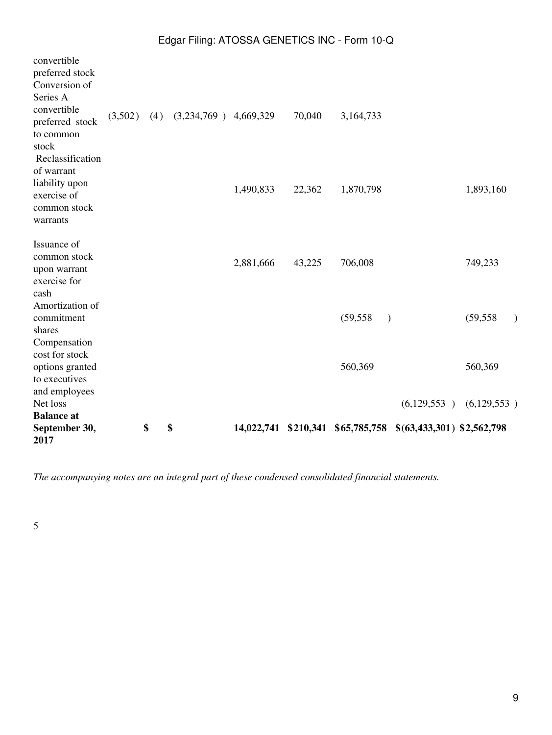| 2017                               |         |     |                         |           |        |                                   |                             |           |  |
|------------------------------------|---------|-----|-------------------------|-----------|--------|-----------------------------------|-----------------------------|-----------|--|
| <b>Balance</b> at<br>September 30, |         | \$  | \$                      |           |        | 14,022,741 \$210,341 \$65,785,758 | $$(63,433,301)$ \$2,562,798 |           |  |
| Net loss                           |         |     |                         |           |        |                                   | $(6,129,553)$ $(6,129,553)$ |           |  |
| and employees                      |         |     |                         |           |        |                                   |                             |           |  |
| to executives                      |         |     |                         |           |        |                                   |                             |           |  |
| options granted                    |         |     |                         |           |        | 560,369                           |                             | 560,369   |  |
| cost for stock                     |         |     |                         |           |        |                                   |                             |           |  |
| Compensation                       |         |     |                         |           |        |                                   |                             |           |  |
| shares                             |         |     |                         |           |        |                                   |                             |           |  |
| commitment                         |         |     |                         |           |        | (59, 558)<br>$\lambda$            |                             | (59, 558) |  |
| Amortization of                    |         |     |                         |           |        |                                   |                             |           |  |
| cash                               |         |     |                         |           |        |                                   |                             |           |  |
| exercise for                       |         |     |                         |           |        |                                   |                             |           |  |
| upon warrant                       |         |     |                         | 2,881,666 | 43,225 | 706,008                           |                             | 749,233   |  |
| common stock                       |         |     |                         |           |        |                                   |                             |           |  |
| Issuance of                        |         |     |                         |           |        |                                   |                             |           |  |
| warrants                           |         |     |                         |           |        |                                   |                             |           |  |
| common stock                       |         |     |                         |           |        |                                   |                             |           |  |
| liability upon<br>exercise of      |         |     |                         | 1,490,833 | 22,362 | 1,870,798                         |                             | 1,893,160 |  |
| of warrant                         |         |     |                         |           |        |                                   |                             |           |  |
| Reclassification                   |         |     |                         |           |        |                                   |                             |           |  |
| stock                              |         |     |                         |           |        |                                   |                             |           |  |
| to common                          |         |     |                         |           |        |                                   |                             |           |  |
| preferred stock                    | (3,502) | (4) | $(3,234,769)$ 4,669,329 |           | 70,040 | 3,164,733                         |                             |           |  |
| convertible                        |         |     |                         |           |        |                                   |                             |           |  |
| Series A                           |         |     |                         |           |        |                                   |                             |           |  |
| Conversion of                      |         |     |                         |           |        |                                   |                             |           |  |
| preferred stock                    |         |     |                         |           |        |                                   |                             |           |  |
| convertible                        |         |     |                         |           |        |                                   |                             |           |  |

*The accompanying notes are an integral part of these condensed consolidated financial statements.*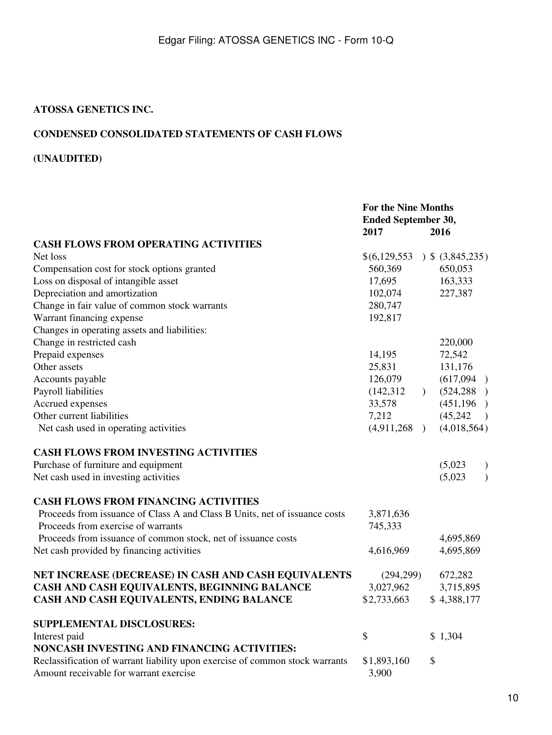### **ATOSSA GENETICS INC.**

## <span id="page-9-0"></span>**CONDENSED CONSOLIDATED STATEMENTS OF CASH FLOWS**

## **(UNAUDITED)**

|                                                                                                                        | <b>For the Nine Months</b><br><b>Ended September 30,</b> |               |                            |
|------------------------------------------------------------------------------------------------------------------------|----------------------------------------------------------|---------------|----------------------------|
|                                                                                                                        | 2017                                                     |               | 2016                       |
| <b>CASH FLOWS FROM OPERATING ACTIVITIES</b>                                                                            |                                                          |               |                            |
| Net loss                                                                                                               | \$(6,129,553)                                            |               | $)$ \$ (3,845,235)         |
| Compensation cost for stock options granted                                                                            | 560,369                                                  |               | 650,053                    |
| Loss on disposal of intangible asset                                                                                   | 17,695                                                   |               | 163,333                    |
| Depreciation and amortization                                                                                          | 102,074                                                  |               | 227,387                    |
| Change in fair value of common stock warrants                                                                          | 280,747                                                  |               |                            |
| Warrant financing expense                                                                                              | 192,817                                                  |               |                            |
| Changes in operating assets and liabilities:                                                                           |                                                          |               |                            |
| Change in restricted cash                                                                                              |                                                          |               | 220,000                    |
| Prepaid expenses                                                                                                       | 14,195                                                   |               | 72,542                     |
| Other assets                                                                                                           | 25,831                                                   |               | 131,176                    |
| Accounts payable                                                                                                       | 126,079                                                  |               | (617,094)                  |
| Payroll liabilities                                                                                                    | (142, 312)                                               | $\mathcal{L}$ | (524, 288)                 |
| Accrued expenses                                                                                                       | 33,578                                                   |               | (451, 196)                 |
| Other current liabilities                                                                                              | 7,212                                                    |               | (45, 242)<br>$\rightarrow$ |
| Net cash used in operating activities                                                                                  | (4,911,268)                                              |               | (4,018,564)                |
| <b>CASH FLOWS FROM INVESTING ACTIVITIES</b>                                                                            |                                                          |               |                            |
| Purchase of furniture and equipment                                                                                    |                                                          |               | (5,023)<br>$\mathcal{E}$   |
| Net cash used in investing activities                                                                                  |                                                          |               | $\mathcal{E}$<br>(5,023)   |
| <b>CASH FLOWS FROM FINANCING ACTIVITIES</b>                                                                            |                                                          |               |                            |
| Proceeds from issuance of Class A and Class B Units, net of issuance costs                                             | 3,871,636                                                |               |                            |
| Proceeds from exercise of warrants                                                                                     | 745,333                                                  |               |                            |
| Proceeds from issuance of common stock, net of issuance costs                                                          |                                                          |               | 4,695,869                  |
| Net cash provided by financing activities                                                                              | 4,616,969                                                |               | 4,695,869                  |
| NET INCREASE (DECREASE) IN CASH AND CASH EQUIVALENTS                                                                   | (294, 299)                                               |               | 672,282                    |
| CASH AND CASH EQUIVALENTS, BEGINNING BALANCE                                                                           | 3,027,962                                                |               | 3,715,895                  |
| CASH AND CASH EQUIVALENTS, ENDING BALANCE                                                                              | \$2,733,663                                              |               | \$4,388,177                |
| <b>SUPPLEMENTAL DISCLOSURES:</b>                                                                                       |                                                          |               |                            |
| Interest paid                                                                                                          | \$                                                       |               | \$1,304                    |
| NONCASH INVESTING AND FINANCING ACTIVITIES:                                                                            |                                                          |               |                            |
| Reclassification of warrant liability upon exercise of common stock warrants<br>Amount receivable for warrant exercise | \$1,893,160<br>3,900                                     | \$            |                            |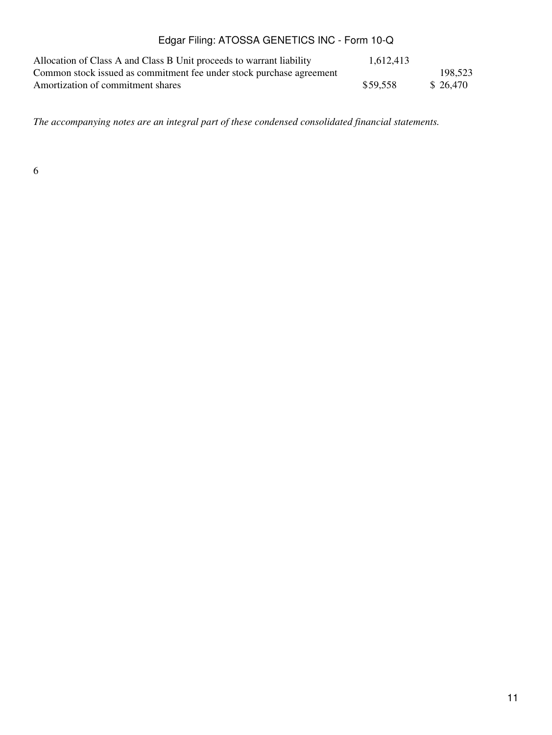| Allocation of Class A and Class B Unit proceeds to warrant liability | 1,612,413 |          |
|----------------------------------------------------------------------|-----------|----------|
| Common stock issued as commitment fee under stock purchase agreement |           | 198,523  |
| Amortization of commitment shares                                    | \$59.558  | \$26,470 |

*The accompanying notes are an integral part of these condensed consolidated financial statements.*

6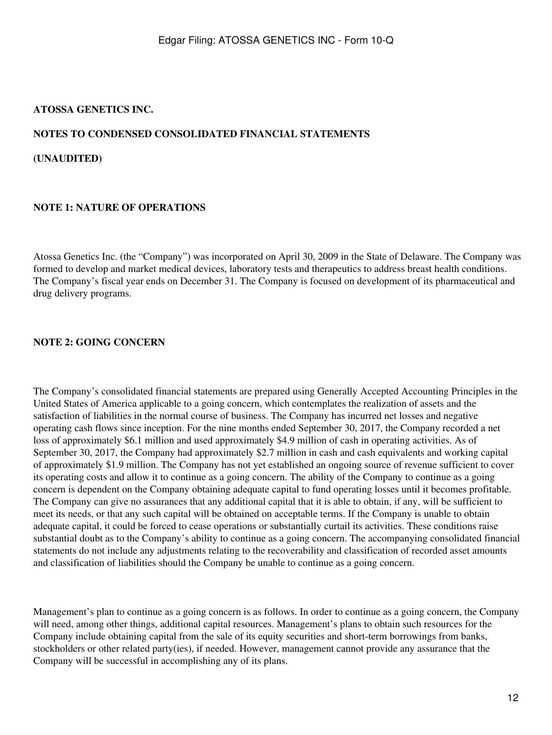### **ATOSSA GENETICS INC.**

#### <span id="page-11-0"></span>**NOTES TO CONDENSED CONSOLIDATED FINANCIAL STATEMENTS**

**(UNAUDITED)**

### **NOTE 1: NATURE OF OPERATIONS**

Atossa Genetics Inc. (the "Company") was incorporated on April 30, 2009 in the State of Delaware. The Company was formed to develop and market medical devices, laboratory tests and therapeutics to address breast health conditions. The Company's fiscal year ends on December 31. The Company is focused on development of its pharmaceutical and drug delivery programs.

### **NOTE 2: GOING CONCERN**

The Company's consolidated financial statements are prepared using Generally Accepted Accounting Principles in the United States of America applicable to a going concern, which contemplates the realization of assets and the satisfaction of liabilities in the normal course of business. The Company has incurred net losses and negative operating cash flows since inception. For the nine months ended September 30, 2017, the Company recorded a net loss of approximately \$6.1 million and used approximately \$4.9 million of cash in operating activities. As of September 30, 2017, the Company had approximately \$2.7 million in cash and cash equivalents and working capital of approximately \$1.9 million. The Company has not yet established an ongoing source of revenue sufficient to cover its operating costs and allow it to continue as a going concern. The ability of the Company to continue as a going concern is dependent on the Company obtaining adequate capital to fund operating losses until it becomes profitable. The Company can give no assurances that any additional capital that it is able to obtain, if any, will be sufficient to meet its needs, or that any such capital will be obtained on acceptable terms. If the Company is unable to obtain adequate capital, it could be forced to cease operations or substantially curtail its activities. These conditions raise substantial doubt as to the Company's ability to continue as a going concern. The accompanying consolidated financial statements do not include any adjustments relating to the recoverability and classification of recorded asset amounts and classification of liabilities should the Company be unable to continue as a going concern.

Management's plan to continue as a going concern is as follows. In order to continue as a going concern, the Company will need, among other things, additional capital resources. Management's plans to obtain such resources for the Company include obtaining capital from the sale of its equity securities and short-term borrowings from banks, stockholders or other related party(ies), if needed. However, management cannot provide any assurance that the Company will be successful in accomplishing any of its plans.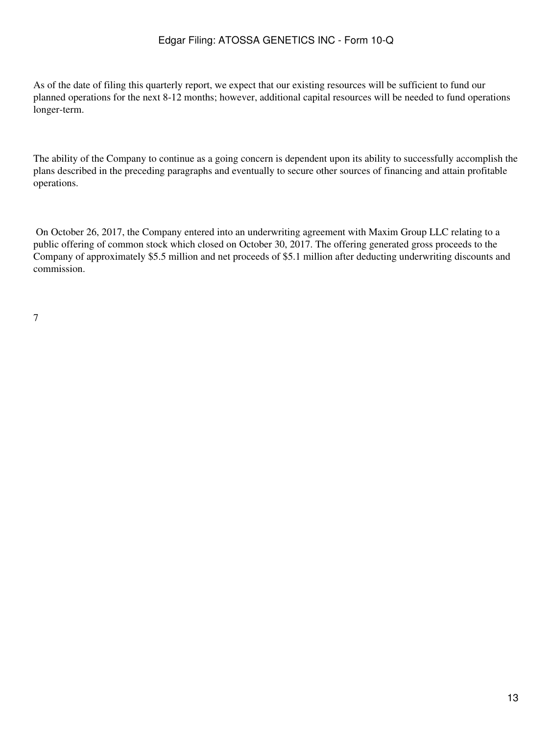As of the date of filing this quarterly report, we expect that our existing resources will be sufficient to fund our planned operations for the next 8-12 months; however, additional capital resources will be needed to fund operations longer-term.

The ability of the Company to continue as a going concern is dependent upon its ability to successfully accomplish the plans described in the preceding paragraphs and eventually to secure other sources of financing and attain profitable operations.

 On October 26, 2017, the Company entered into an underwriting agreement with Maxim Group LLC relating to a public offering of common stock which closed on October 30, 2017. The offering generated gross proceeds to the Company of approximately \$5.5 million and net proceeds of \$5.1 million after deducting underwriting discounts and commission.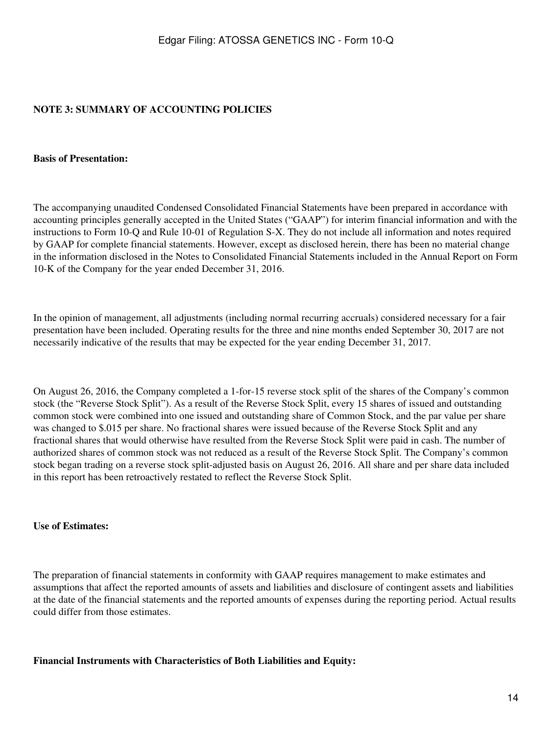## **NOTE 3: SUMMARY OF ACCOUNTING POLICIES**

#### **Basis of Presentation:**

The accompanying unaudited Condensed Consolidated Financial Statements have been prepared in accordance with accounting principles generally accepted in the United States ("GAAP") for interim financial information and with the instructions to Form 10-Q and Rule 10-01 of Regulation S-X. They do not include all information and notes required by GAAP for complete financial statements. However, except as disclosed herein, there has been no material change in the information disclosed in the Notes to Consolidated Financial Statements included in the Annual Report on Form 10-K of the Company for the year ended December 31, 2016.

In the opinion of management, all adjustments (including normal recurring accruals) considered necessary for a fair presentation have been included. Operating results for the three and nine months ended September 30, 2017 are not necessarily indicative of the results that may be expected for the year ending December 31, 2017.

On August 26, 2016, the Company completed a 1-for-15 reverse stock split of the shares of the Company's common stock (the "Reverse Stock Split"). As a result of the Reverse Stock Split, every 15 shares of issued and outstanding common stock were combined into one issued and outstanding share of Common Stock, and the par value per share was changed to \$.015 per share. No fractional shares were issued because of the Reverse Stock Split and any fractional shares that would otherwise have resulted from the Reverse Stock Split were paid in cash. The number of authorized shares of common stock was not reduced as a result of the Reverse Stock Split. The Company's common stock began trading on a reverse stock split-adjusted basis on August 26, 2016. All share and per share data included in this report has been retroactively restated to reflect the Reverse Stock Split.

#### **Use of Estimates:**

The preparation of financial statements in conformity with GAAP requires management to make estimates and assumptions that affect the reported amounts of assets and liabilities and disclosure of contingent assets and liabilities at the date of the financial statements and the reported amounts of expenses during the reporting period. Actual results could differ from those estimates.

**Financial Instruments with Characteristics of Both Liabilities and Equity:**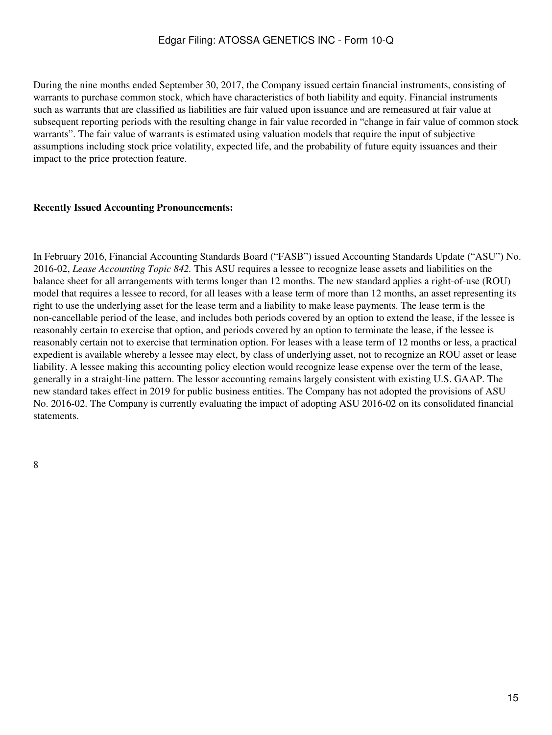During the nine months ended September 30, 2017, the Company issued certain financial instruments, consisting of warrants to purchase common stock, which have characteristics of both liability and equity. Financial instruments such as warrants that are classified as liabilities are fair valued upon issuance and are remeasured at fair value at subsequent reporting periods with the resulting change in fair value recorded in "change in fair value of common stock warrants". The fair value of warrants is estimated using valuation models that require the input of subjective assumptions including stock price volatility, expected life, and the probability of future equity issuances and their impact to the price protection feature.

#### **Recently Issued Accounting Pronouncements:**

In February 2016, Financial Accounting Standards Board ("FASB") issued Accounting Standards Update ("ASU") No. 2016-02, *Lease Accounting Topic 842.* This ASU requires a lessee to recognize lease assets and liabilities on the balance sheet for all arrangements with terms longer than 12 months. The new standard applies a right-of-use (ROU) model that requires a lessee to record, for all leases with a lease term of more than 12 months, an asset representing its right to use the underlying asset for the lease term and a liability to make lease payments. The lease term is the non-cancellable period of the lease, and includes both periods covered by an option to extend the lease, if the lessee is reasonably certain to exercise that option, and periods covered by an option to terminate the lease, if the lessee is reasonably certain not to exercise that termination option. For leases with a lease term of 12 months or less, a practical expedient is available whereby a lessee may elect, by class of underlying asset, not to recognize an ROU asset or lease liability. A lessee making this accounting policy election would recognize lease expense over the term of the lease, generally in a straight-line pattern. The lessor accounting remains largely consistent with existing U.S. GAAP. The new standard takes effect in 2019 for public business entities. The Company has not adopted the provisions of ASU No. 2016-02. The Company is currently evaluating the impact of adopting ASU 2016-02 on its consolidated financial statements.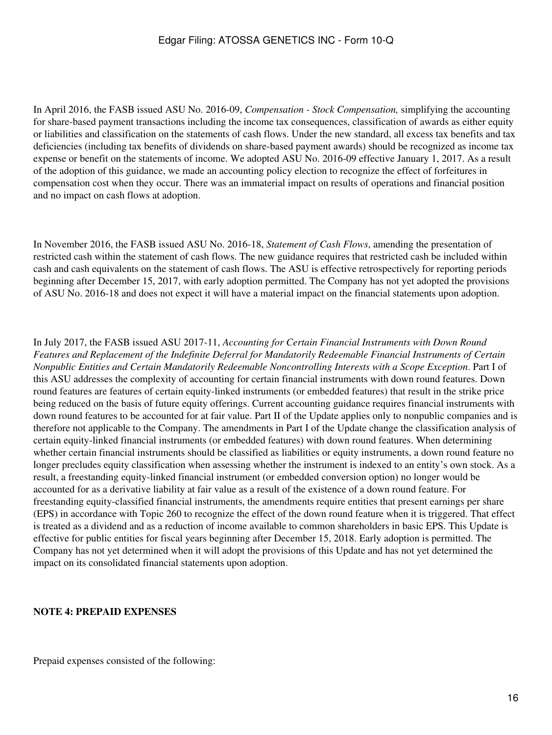In April 2016, the FASB issued ASU No. 2016-09, *Compensation - Stock Compensation,* simplifying the accounting for share-based payment transactions including the income tax consequences, classification of awards as either equity or liabilities and classification on the statements of cash flows. Under the new standard, all excess tax benefits and tax deficiencies (including tax benefits of dividends on share-based payment awards) should be recognized as income tax expense or benefit on the statements of income. We adopted ASU No. 2016-09 effective January 1, 2017. As a result of the adoption of this guidance, we made an accounting policy election to recognize the effect of forfeitures in compensation cost when they occur. There was an immaterial impact on results of operations and financial position and no impact on cash flows at adoption.

In November 2016, the FASB issued ASU No. 2016-18, *Statement of Cash Flows*, amending the presentation of restricted cash within the statement of cash flows. The new guidance requires that restricted cash be included within cash and cash equivalents on the statement of cash flows. The ASU is effective retrospectively for reporting periods beginning after December 15, 2017, with early adoption permitted. The Company has not yet adopted the provisions of ASU No. 2016-18 and does not expect it will have a material impact on the financial statements upon adoption.

In July 2017, the FASB issued ASU 2017-11, *Accounting for Certain Financial Instruments with Down Round Features and Replacement of the Indefinite Deferral for Mandatorily Redeemable Financial Instruments of Certain Nonpublic Entities and Certain Mandatorily Redeemable Noncontrolling Interests with a Scope Exception*. Part I of this ASU addresses the complexity of accounting for certain financial instruments with down round features. Down round features are features of certain equity-linked instruments (or embedded features) that result in the strike price being reduced on the basis of future equity offerings. Current accounting guidance requires financial instruments with down round features to be accounted for at fair value. Part II of the Update applies only to nonpublic companies and is therefore not applicable to the Company. The amendments in Part I of the Update change the classification analysis of certain equity-linked financial instruments (or embedded features) with down round features. When determining whether certain financial instruments should be classified as liabilities or equity instruments, a down round feature no longer precludes equity classification when assessing whether the instrument is indexed to an entity's own stock. As a result, a freestanding equity-linked financial instrument (or embedded conversion option) no longer would be accounted for as a derivative liability at fair value as a result of the existence of a down round feature. For freestanding equity-classified financial instruments, the amendments require entities that present earnings per share (EPS) in accordance with Topic 260 to recognize the effect of the down round feature when it is triggered. That effect is treated as a dividend and as a reduction of income available to common shareholders in basic EPS. This Update is effective for public entities for fiscal years beginning after December 15, 2018. Early adoption is permitted. The Company has not yet determined when it will adopt the provisions of this Update and has not yet determined the impact on its consolidated financial statements upon adoption.

#### **NOTE 4: PREPAID EXPENSES**

Prepaid expenses consisted of the following: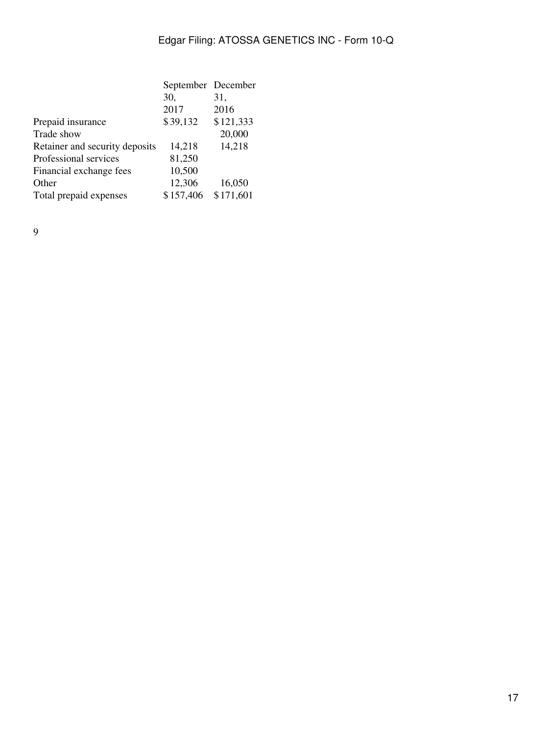|                                | September December |           |
|--------------------------------|--------------------|-----------|
|                                | 30,                | 31,       |
|                                | 2017               | 2016      |
| Prepaid insurance              | \$39,132           | \$121,333 |
| Trade show                     |                    | 20,000    |
| Retainer and security deposits | 14,218             | 14,218    |
| Professional services          | 81,250             |           |
| Financial exchange fees        | 10,500             |           |
| Other                          | 12,306             | 16,050    |
| Total prepaid expenses         | \$157,406          | \$171,601 |
|                                |                    |           |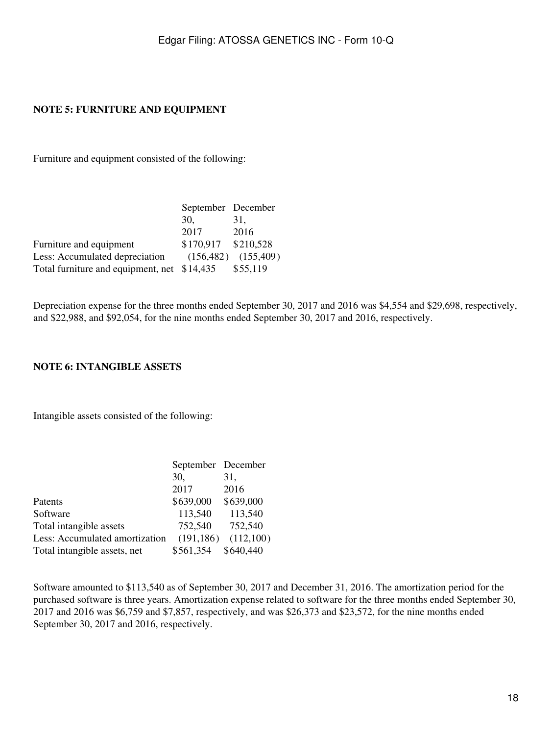## **NOTE 5: FURNITURE AND EQUIPMENT**

Furniture and equipment consisted of the following:

|                                             | September December  |                         |
|---------------------------------------------|---------------------|-------------------------|
|                                             | 30.                 | 31.                     |
|                                             | 2017                | 2016                    |
| Furniture and equipment                     | \$170,917 \$210,528 |                         |
| Less: Accumulated depreciation              |                     | $(156,482)$ $(155,409)$ |
| Total furniture and equipment, net \$14,435 |                     | \$55,119                |

Depreciation expense for the three months ended September 30, 2017 and 2016 was \$4,554 and \$29,698, respectively, and \$22,988, and \$92,054, for the nine months ended September 30, 2017 and 2016, respectively.

#### **NOTE 6: INTANGIBLE ASSETS**

Intangible assets consisted of the following:

|                                | September December |           |
|--------------------------------|--------------------|-----------|
|                                | 30,                | 31,       |
|                                | 2017               | 2016      |
| Patents                        | \$639,000          | \$639,000 |
| Software                       | 113,540            | 113,540   |
| Total intangible assets        | 752,540            | 752,540   |
| Less: Accumulated amortization | (191, 186)         | (112,100) |
| Total intangible assets, net   | \$561,354          | \$640,440 |

Software amounted to \$113,540 as of September 30, 2017 and December 31, 2016. The amortization period for the purchased software is three years. Amortization expense related to software for the three months ended September 30, 2017 and 2016 was \$6,759 and \$7,857, respectively, and was \$26,373 and \$23,572, for the nine months ended September 30, 2017 and 2016, respectively.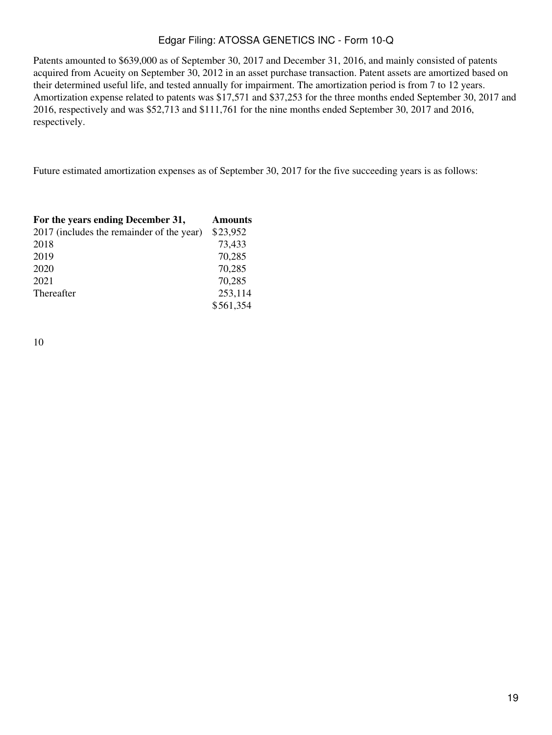Patents amounted to \$639,000 as of September 30, 2017 and December 31, 2016, and mainly consisted of patents acquired from Acueity on September 30, 2012 in an asset purchase transaction. Patent assets are amortized based on their determined useful life, and tested annually for impairment. The amortization period is from 7 to 12 years. Amortization expense related to patents was \$17,571 and \$37,253 for the three months ended September 30, 2017 and 2016, respectively and was \$52,713 and \$111,761 for the nine months ended September 30, 2017 and 2016, respectively.

Future estimated amortization expenses as of September 30, 2017 for the five succeeding years is as follows:

| For the years ending December 31,         | <b>Amounts</b> |
|-------------------------------------------|----------------|
| 2017 (includes the remainder of the year) | \$23,952       |
| 2018                                      | 73,433         |
| 2019                                      | 70,285         |
| 2020                                      | 70,285         |
| 2021                                      | 70,285         |
| Thereafter                                | 253,114        |
|                                           | \$561,354      |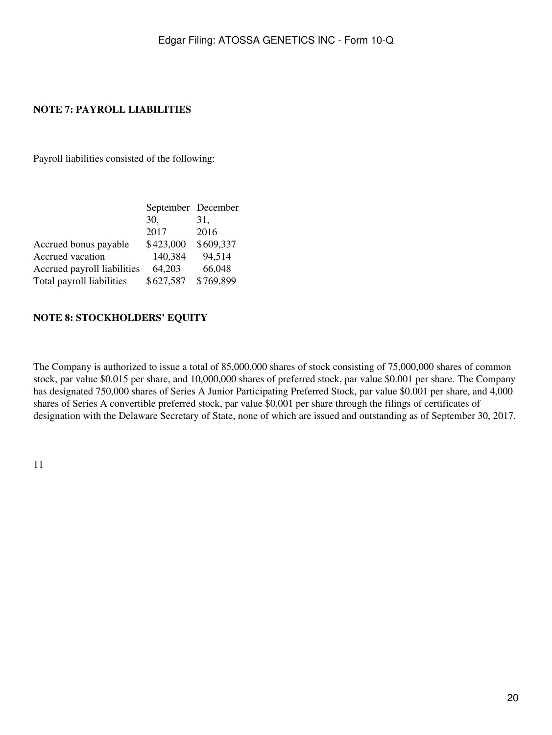## **NOTE 7: PAYROLL LIABILITIES**

Payroll liabilities consisted of the following:

|                             | September December |           |
|-----------------------------|--------------------|-----------|
|                             | 30.                | 31,       |
|                             | 2017               | 2016      |
| Accrued bonus payable       | \$423,000          | \$609,337 |
| Accrued vacation            | 140,384            | 94,514    |
| Accrued payroll liabilities | 64,203             | 66,048    |
| Total payroll liabilities   | \$627,587          | \$769,899 |

### **NOTE 8: STOCKHOLDERS' EQUITY**

The Company is authorized to issue a total of 85,000,000 shares of stock consisting of 75,000,000 shares of common stock, par value \$0.015 per share, and 10,000,000 shares of preferred stock, par value \$0.001 per share. The Company has designated 750,000 shares of Series A Junior Participating Preferred Stock, par value \$0.001 per share, and 4,000 shares of Series A convertible preferred stock, par value \$0.001 per share through the filings of certificates of designation with the Delaware Secretary of State, none of which are issued and outstanding as of September 30, 2017.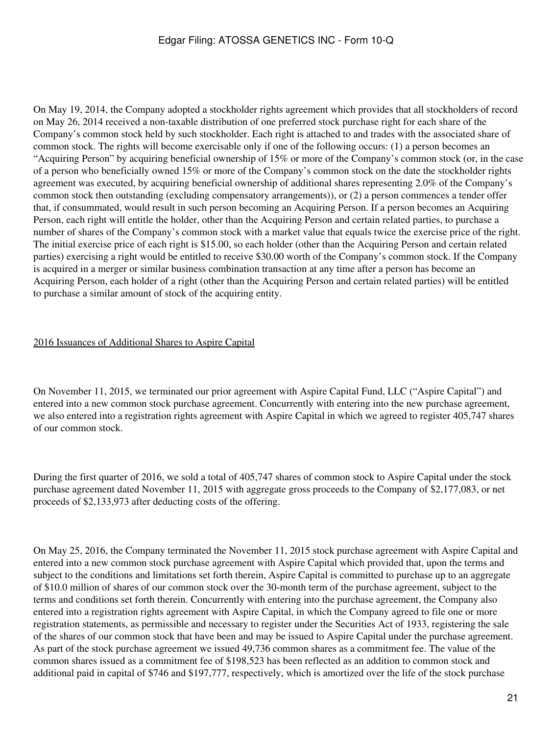On May 19, 2014, the Company adopted a stockholder rights agreement which provides that all stockholders of record on May 26, 2014 received a non-taxable distribution of one preferred stock purchase right for each share of the Company's common stock held by such stockholder. Each right is attached to and trades with the associated share of common stock. The rights will become exercisable only if one of the following occurs: (1) a person becomes an "Acquiring Person" by acquiring beneficial ownership of 15% or more of the Company's common stock (or, in the case of a person who beneficially owned 15% or more of the Company's common stock on the date the stockholder rights agreement was executed, by acquiring beneficial ownership of additional shares representing 2.0% of the Company's common stock then outstanding (excluding compensatory arrangements)), or (2) a person commences a tender offer that, if consummated, would result in such person becoming an Acquiring Person. If a person becomes an Acquiring Person, each right will entitle the holder, other than the Acquiring Person and certain related parties, to purchase a number of shares of the Company's common stock with a market value that equals twice the exercise price of the right. The initial exercise price of each right is \$15.00, so each holder (other than the Acquiring Person and certain related parties) exercising a right would be entitled to receive \$30.00 worth of the Company's common stock. If the Company is acquired in a merger or similar business combination transaction at any time after a person has become an Acquiring Person, each holder of a right (other than the Acquiring Person and certain related parties) will be entitled to purchase a similar amount of stock of the acquiring entity.

### 2016 Issuances of Additional Shares to Aspire Capital

On November 11, 2015, we terminated our prior agreement with Aspire Capital Fund, LLC ("Aspire Capital") and entered into a new common stock purchase agreement. Concurrently with entering into the new purchase agreement, we also entered into a registration rights agreement with Aspire Capital in which we agreed to register 405,747 shares of our common stock.

During the first quarter of 2016, we sold a total of 405,747 shares of common stock to Aspire Capital under the stock purchase agreement dated November 11, 2015 with aggregate gross proceeds to the Company of \$2,177,083, or net proceeds of \$2,133,973 after deducting costs of the offering.

On May 25, 2016, the Company terminated the November 11, 2015 stock purchase agreement with Aspire Capital and entered into a new common stock purchase agreement with Aspire Capital which provided that, upon the terms and subject to the conditions and limitations set forth therein, Aspire Capital is committed to purchase up to an aggregate of \$10.0 million of shares of our common stock over the 30-month term of the purchase agreement, subject to the terms and conditions set forth therein. Concurrently with entering into the purchase agreement, the Company also entered into a registration rights agreement with Aspire Capital, in which the Company agreed to file one or more registration statements, as permissible and necessary to register under the Securities Act of 1933, registering the sale of the shares of our common stock that have been and may be issued to Aspire Capital under the purchase agreement. As part of the stock purchase agreement we issued 49,736 common shares as a commitment fee. The value of the common shares issued as a commitment fee of \$198,523 has been reflected as an addition to common stock and additional paid in capital of \$746 and \$197,777, respectively, which is amortized over the life of the stock purchase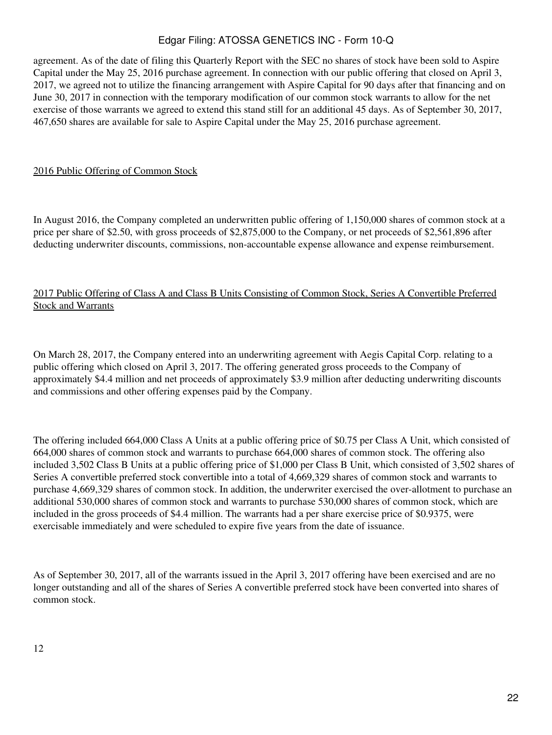agreement. As of the date of filing this Quarterly Report with the SEC no shares of stock have been sold to Aspire Capital under the May 25, 2016 purchase agreement. In connection with our public offering that closed on April 3, 2017, we agreed not to utilize the financing arrangement with Aspire Capital for 90 days after that financing and on June 30, 2017 in connection with the temporary modification of our common stock warrants to allow for the net exercise of those warrants we agreed to extend this stand still for an additional 45 days. As of September 30, 2017, 467,650 shares are available for sale to Aspire Capital under the May 25, 2016 purchase agreement.

### 2016 Public Offering of Common Stock

In August 2016, the Company completed an underwritten public offering of 1,150,000 shares of common stock at a price per share of \$2.50, with gross proceeds of \$2,875,000 to the Company, or net proceeds of \$2,561,896 after deducting underwriter discounts, commissions, non-accountable expense allowance and expense reimbursement.

## 2017 Public Offering of Class A and Class B Units Consisting of Common Stock, Series A Convertible Preferred Stock and Warrants

On March 28, 2017, the Company entered into an underwriting agreement with Aegis Capital Corp. relating to a public offering which closed on April 3, 2017. The offering generated gross proceeds to the Company of approximately \$4.4 million and net proceeds of approximately \$3.9 million after deducting underwriting discounts and commissions and other offering expenses paid by the Company.

The offering included 664,000 Class A Units at a public offering price of \$0.75 per Class A Unit, which consisted of 664,000 shares of common stock and warrants to purchase 664,000 shares of common stock. The offering also included 3,502 Class B Units at a public offering price of \$1,000 per Class B Unit, which consisted of 3,502 shares of Series A convertible preferred stock convertible into a total of 4,669,329 shares of common stock and warrants to purchase 4,669,329 shares of common stock. In addition, the underwriter exercised the over-allotment to purchase an additional 530,000 shares of common stock and warrants to purchase 530,000 shares of common stock, which are included in the gross proceeds of \$4.4 million. The warrants had a per share exercise price of \$0.9375, were exercisable immediately and were scheduled to expire five years from the date of issuance.

As of September 30, 2017, all of the warrants issued in the April 3, 2017 offering have been exercised and are no longer outstanding and all of the shares of Series A convertible preferred stock have been converted into shares of common stock.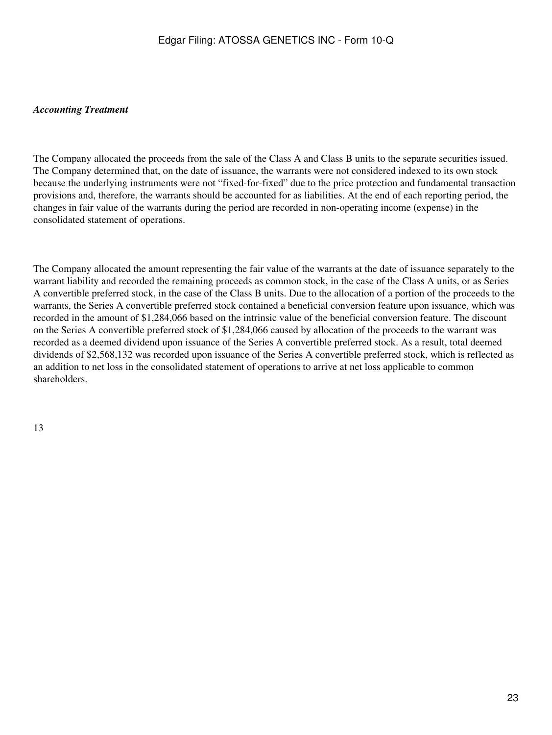### *Accounting Treatment*

The Company allocated the proceeds from the sale of the Class A and Class B units to the separate securities issued. The Company determined that, on the date of issuance, the warrants were not considered indexed to its own stock because the underlying instruments were not "fixed-for-fixed" due to the price protection and fundamental transaction provisions and, therefore, the warrants should be accounted for as liabilities. At the end of each reporting period, the changes in fair value of the warrants during the period are recorded in non-operating income (expense) in the consolidated statement of operations.

The Company allocated the amount representing the fair value of the warrants at the date of issuance separately to the warrant liability and recorded the remaining proceeds as common stock, in the case of the Class A units, or as Series A convertible preferred stock, in the case of the Class B units. Due to the allocation of a portion of the proceeds to the warrants, the Series A convertible preferred stock contained a beneficial conversion feature upon issuance, which was recorded in the amount of \$1,284,066 based on the intrinsic value of the beneficial conversion feature. The discount on the Series A convertible preferred stock of \$1,284,066 caused by allocation of the proceeds to the warrant was recorded as a deemed dividend upon issuance of the Series A convertible preferred stock. As a result, total deemed dividends of \$2,568,132 was recorded upon issuance of the Series A convertible preferred stock, which is reflected as an addition to net loss in the consolidated statement of operations to arrive at net loss applicable to common shareholders.

13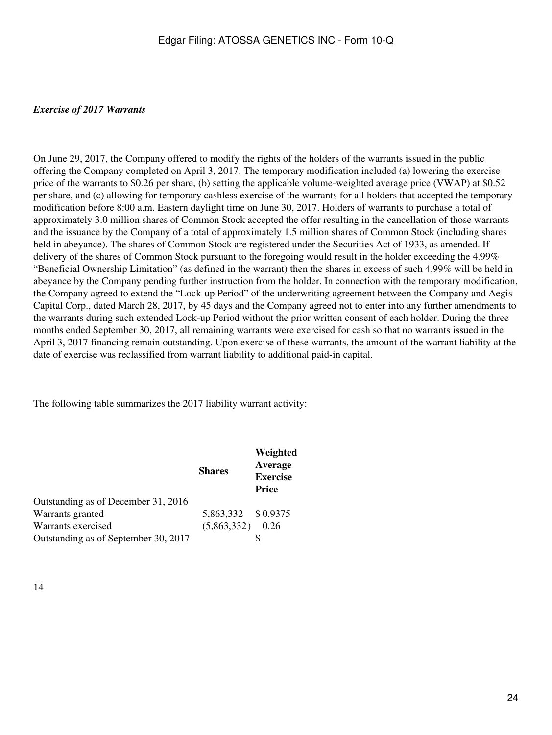### *Exercise of 2017 Warrants*

On June 29, 2017, the Company offered to modify the rights of the holders of the warrants issued in the public offering the Company completed on April 3, 2017. The temporary modification included (a) lowering the exercise price of the warrants to \$0.26 per share, (b) setting the applicable volume-weighted average price (VWAP) at \$0.52 per share, and (c) allowing for temporary cashless exercise of the warrants for all holders that accepted the temporary modification before 8:00 a.m. Eastern daylight time on June 30, 2017. Holders of warrants to purchase a total of approximately 3.0 million shares of Common Stock accepted the offer resulting in the cancellation of those warrants and the issuance by the Company of a total of approximately 1.5 million shares of Common Stock (including shares held in abeyance). The shares of Common Stock are registered under the Securities Act of 1933, as amended. If delivery of the shares of Common Stock pursuant to the foregoing would result in the holder exceeding the 4.99% "Beneficial Ownership Limitation" (as defined in the warrant) then the shares in excess of such 4.99% will be held in abeyance by the Company pending further instruction from the holder. In connection with the temporary modification, the Company agreed to extend the "Lock-up Period" of the underwriting agreement between the Company and Aegis Capital Corp., dated March 28, 2017, by 45 days and the Company agreed not to enter into any further amendments to the warrants during such extended Lock-up Period without the prior written consent of each holder. During the three months ended September 30, 2017, all remaining warrants were exercised for cash so that no warrants issued in the April 3, 2017 financing remain outstanding. Upon exercise of these warrants, the amount of the warrant liability at the date of exercise was reclassified from warrant liability to additional paid-in capital.

The following table summarizes the 2017 liability warrant activity:

|                                      | <b>Shares</b>      | Weighted<br>Average<br><b>Exercise</b><br><b>Price</b> |
|--------------------------------------|--------------------|--------------------------------------------------------|
| Outstanding as of December 31, 2016  |                    |                                                        |
| Warrants granted                     | 5,863,332 \$0.9375 |                                                        |
| Warrants exercised                   | (5,863,332)        | 0.26                                                   |
| Outstanding as of September 30, 2017 |                    |                                                        |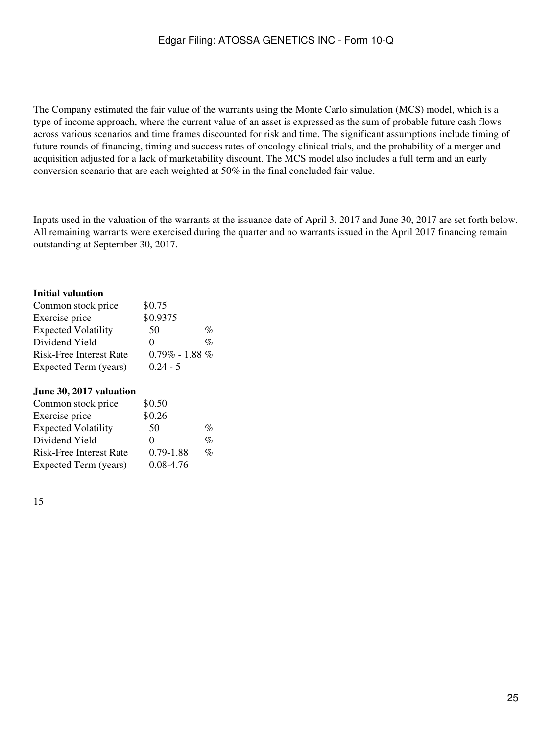The Company estimated the fair value of the warrants using the Monte Carlo simulation (MCS) model, which is a type of income approach, where the current value of an asset is expressed as the sum of probable future cash flows across various scenarios and time frames discounted for risk and time. The significant assumptions include timing of future rounds of financing, timing and success rates of oncology clinical trials, and the probability of a merger and acquisition adjusted for a lack of marketability discount. The MCS model also includes a full term and an early conversion scenario that are each weighted at 50% in the final concluded fair value.

Inputs used in the valuation of the warrants at the issuance date of April 3, 2017 and June 30, 2017 are set forth below. All remaining warrants were exercised during the quarter and no warrants issued in the April 2017 financing remain outstanding at September 30, 2017.

### **Initial valuation**

| Common stock price             | \$0.75               |                 |
|--------------------------------|----------------------|-----------------|
| Exercise price                 | \$0.9375             |                 |
| <b>Expected Volatility</b>     | 50                   | $\%$            |
| Dividend Yield                 | $\mathbf{\Omega}$    | $\mathcal{O}_D$ |
| <b>Risk-Free Interest Rate</b> | $0.79\%$ - 1.88 $\%$ |                 |
| Expected Term (years)          | $0.24 - 5$           |                 |

#### **June 30, 2017 valuation**

| Common stock price             | \$0.50            |      |
|--------------------------------|-------------------|------|
| Exercise price                 | \$0.26            |      |
| <b>Expected Volatility</b>     | 50                | %    |
| Dividend Yield                 | $\mathbf{\Omega}$ | $\%$ |
| <b>Risk-Free Interest Rate</b> | $0.79 - 1.88$     | $\%$ |
| Expected Term (years)          | 0.08-4.76         |      |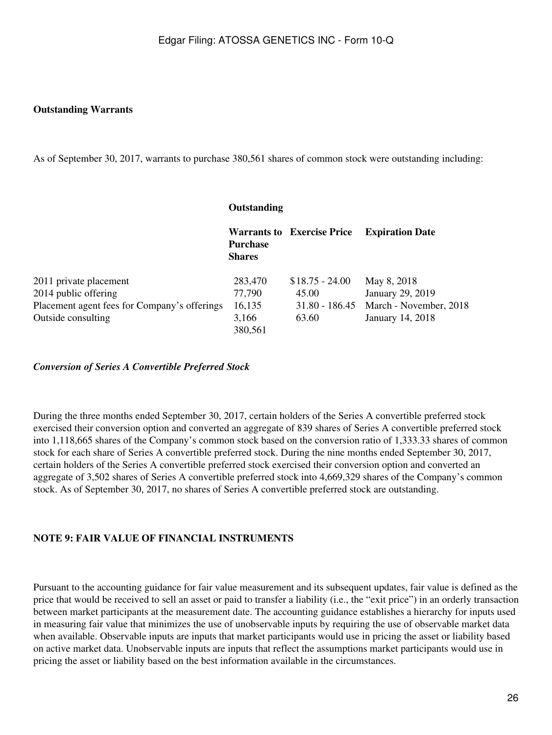### **Outstanding Warrants**

As of September 30, 2017, warrants to purchase 380,561 shares of common stock were outstanding including:

|                                              | Outstanding                      |                                   |                        |  |
|----------------------------------------------|----------------------------------|-----------------------------------|------------------------|--|
|                                              | <b>Purchase</b><br><b>Shares</b> | <b>Warrants to Exercise Price</b> | <b>Expiration Date</b> |  |
| 2011 private placement                       | 283,470                          | $$18.75 - 24.00$                  | May 8, 2018            |  |
| 2014 public offering                         | 77,790                           | 45.00                             | January 29, 2019       |  |
| Placement agent fees for Company's offerings | 16,135                           | $31.80 - 186.45$                  | March - November, 2018 |  |
| Outside consulting                           | 3,166<br>380,561                 | 63.60                             | January 14, 2018       |  |

*Conversion of Series A Convertible Preferred Stock*

During the three months ended September 30, 2017, certain holders of the Series A convertible preferred stock exercised their conversion option and converted an aggregate of 839 shares of Series A convertible preferred stock into 1,118,665 shares of the Company's common stock based on the conversion ratio of 1,333.33 shares of common stock for each share of Series A convertible preferred stock. During the nine months ended September 30, 2017, certain holders of the Series A convertible preferred stock exercised their conversion option and converted an aggregate of 3,502 shares of Series A convertible preferred stock into 4,669,329 shares of the Company's common stock. As of September 30, 2017, no shares of Series A convertible preferred stock are outstanding.

### **NOTE 9: FAIR VALUE OF FINANCIAL INSTRUMENTS**

Pursuant to the accounting guidance for fair value measurement and its subsequent updates, fair value is defined as the price that would be received to sell an asset or paid to transfer a liability (i.e., the "exit price") in an orderly transaction between market participants at the measurement date. The accounting guidance establishes a hierarchy for inputs used in measuring fair value that minimizes the use of unobservable inputs by requiring the use of observable market data when available. Observable inputs are inputs that market participants would use in pricing the asset or liability based on active market data. Unobservable inputs are inputs that reflect the assumptions market participants would use in pricing the asset or liability based on the best information available in the circumstances.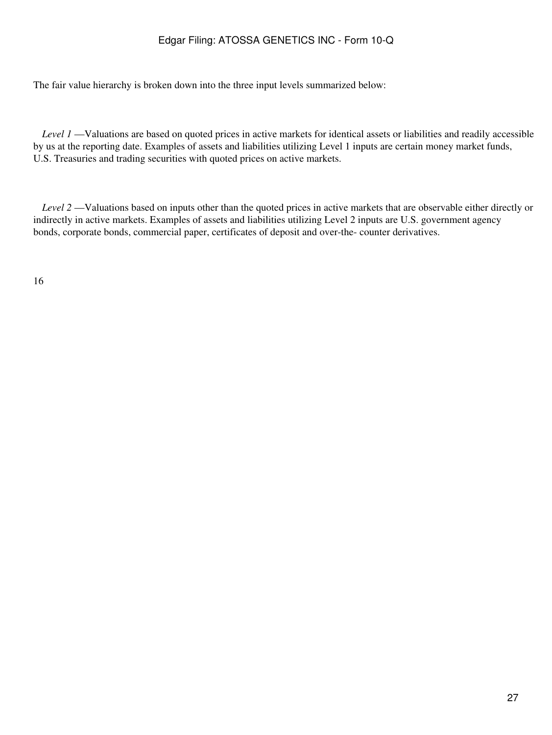The fair value hierarchy is broken down into the three input levels summarized below:

 *Level 1* —Valuations are based on quoted prices in active markets for identical assets or liabilities and readily accessible by us at the reporting date. Examples of assets and liabilities utilizing Level 1 inputs are certain money market funds, U.S. Treasuries and trading securities with quoted prices on active markets.

 *Level 2* —Valuations based on inputs other than the quoted prices in active markets that are observable either directly or indirectly in active markets. Examples of assets and liabilities utilizing Level 2 inputs are U.S. government agency bonds, corporate bonds, commercial paper, certificates of deposit and over-the- counter derivatives.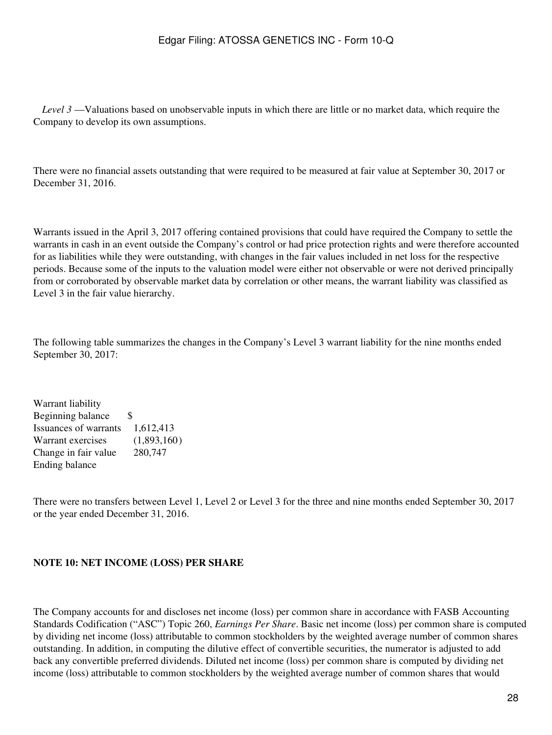*Level 3* —Valuations based on unobservable inputs in which there are little or no market data, which require the Company to develop its own assumptions.

There were no financial assets outstanding that were required to be measured at fair value at September 30, 2017 or December 31, 2016.

Warrants issued in the April 3, 2017 offering contained provisions that could have required the Company to settle the warrants in cash in an event outside the Company's control or had price protection rights and were therefore accounted for as liabilities while they were outstanding, with changes in the fair values included in net loss for the respective periods. Because some of the inputs to the valuation model were either not observable or were not derived principally from or corroborated by observable market data by correlation or other means, the warrant liability was classified as Level 3 in the fair value hierarchy.

The following table summarizes the changes in the Company's Level 3 warrant liability for the nine months ended September 30, 2017:

Warrant liability Beginning balance \$ Issuances of warrants 1,612,413 Warrant exercises (1,893,160) Change in fair value 280,747 Ending balance

There were no transfers between Level 1, Level 2 or Level 3 for the three and nine months ended September 30, 2017 or the year ended December 31, 2016.

#### **NOTE 10: NET INCOME (LOSS) PER SHARE**

The Company accounts for and discloses net income (loss) per common share in accordance with FASB Accounting Standards Codification ("ASC") Topic 260, *Earnings Per Share*. Basic net income (loss) per common share is computed by dividing net income (loss) attributable to common stockholders by the weighted average number of common shares outstanding. In addition, in computing the dilutive effect of convertible securities, the numerator is adjusted to add back any convertible preferred dividends. Diluted net income (loss) per common share is computed by dividing net income (loss) attributable to common stockholders by the weighted average number of common shares that would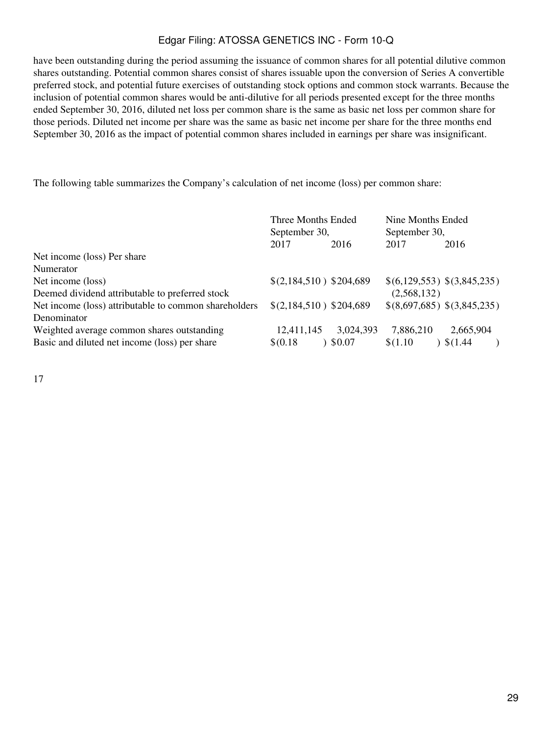have been outstanding during the period assuming the issuance of common shares for all potential dilutive common shares outstanding. Potential common shares consist of shares issuable upon the conversion of Series A convertible preferred stock, and potential future exercises of outstanding stock options and common stock warrants. Because the inclusion of potential common shares would be anti-dilutive for all periods presented except for the three months ended September 30, 2016, diluted net loss per common share is the same as basic net loss per common share for those periods. Diluted net income per share was the same as basic net income per share for the three months end September 30, 2016 as the impact of potential common shares included in earnings per share was insignificant.

The following table summarizes the Company's calculation of net income (loss) per common share:

|                                                       | Three Months Ended<br>September 30, |           | Nine Months Ended<br>September 30, |                             |
|-------------------------------------------------------|-------------------------------------|-----------|------------------------------------|-----------------------------|
|                                                       | 2017                                | 2016      | 2017                               | 2016                        |
| Net income (loss) Per share                           |                                     |           |                                    |                             |
| Numerator                                             |                                     |           |                                    |                             |
| Net income (loss)                                     | $$(2,184,510)$ \$204,689            |           | \$(6,129,553) \$(3,845,235)        |                             |
| Deemed dividend attributable to preferred stock       |                                     |           | (2,568,132)                        |                             |
| Net income (loss) attributable to common shareholders | $$(2,184,510)$ \$204,689            |           |                                    | \$(8,697,685) \$(3,845,235) |
| Denominator                                           |                                     |           |                                    |                             |
| Weighted average common shares outstanding            | 12,411,145                          | 3,024,393 | 7,886,210                          | 2,665,904                   |
| Basic and diluted net income (loss) per share         | \$(0.18)                            | \$0.07    | \$(1.10)                           | \$(1.44)                    |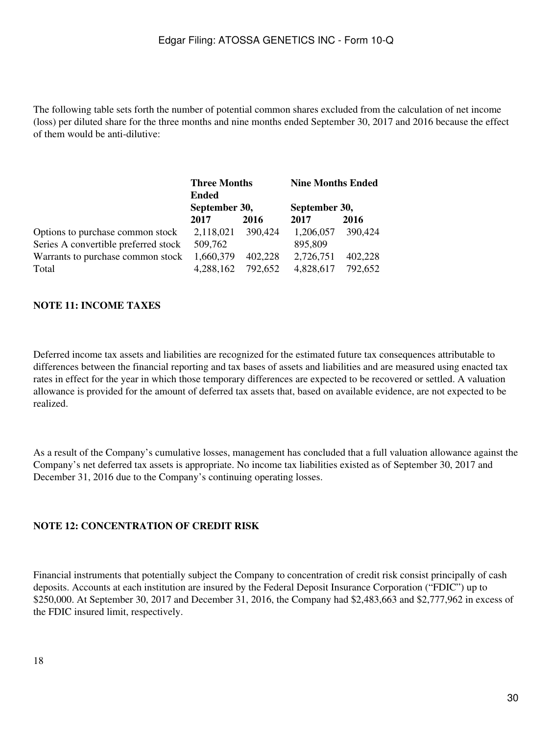The following table sets forth the number of potential common shares excluded from the calculation of net income (loss) per diluted share for the three months and nine months ended September 30, 2017 and 2016 because the effect of them would be anti-dilutive:

|                                      | <b>Three Months</b><br><b>Ended</b><br>September 30, |         | <b>Nine Months Ended</b> |         |  |
|--------------------------------------|------------------------------------------------------|---------|--------------------------|---------|--|
|                                      |                                                      |         | September 30,            |         |  |
|                                      | 2017                                                 | 2016    | 2017                     | 2016    |  |
| Options to purchase common stock     | 2,118,021                                            | 390,424 | 1,206,057                | 390,424 |  |
| Series A convertible preferred stock | 509,762                                              |         | 895,809                  |         |  |
| Warrants to purchase common stock    | 1,660,379                                            | 402,228 | 2,726,751                | 402,228 |  |
| Total                                | 4,288,162                                            | 792,652 | 4,828,617                | 792,652 |  |

### **NOTE 11: INCOME TAXES**

Deferred income tax assets and liabilities are recognized for the estimated future tax consequences attributable to differences between the financial reporting and tax bases of assets and liabilities and are measured using enacted tax rates in effect for the year in which those temporary differences are expected to be recovered or settled. A valuation allowance is provided for the amount of deferred tax assets that, based on available evidence, are not expected to be realized.

As a result of the Company's cumulative losses, management has concluded that a full valuation allowance against the Company's net deferred tax assets is appropriate. No income tax liabilities existed as of September 30, 2017 and December 31, 2016 due to the Company's continuing operating losses.

### **NOTE 12: CONCENTRATION OF CREDIT RISK**

Financial instruments that potentially subject the Company to concentration of credit risk consist principally of cash deposits. Accounts at each institution are insured by the Federal Deposit Insurance Corporation ("FDIC") up to \$250,000. At September 30, 2017 and December 31, 2016, the Company had \$2,483,663 and \$2,777,962 in excess of the FDIC insured limit, respectively.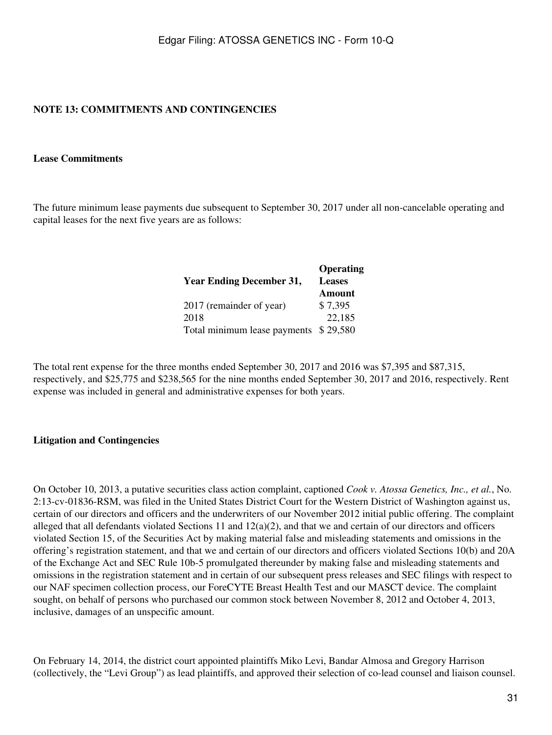## **NOTE 13: COMMITMENTS AND CONTINGENCIES**

#### **Lease Commitments**

The future minimum lease payments due subsequent to September 30, 2017 under all non-cancelable operating and capital leases for the next five years are as follows:

|                                 | Operating     |
|---------------------------------|---------------|
| <b>Year Ending December 31,</b> | <b>Leases</b> |
|                                 | <b>Amount</b> |
| 2017 (remainder of year)        | \$7,395       |
| 2018                            | 22,185        |
| Total minimum lease payments    | \$29,580      |

The total rent expense for the three months ended September 30, 2017 and 2016 was \$7,395 and \$87,315, respectively, and \$25,775 and \$238,565 for the nine months ended September 30, 2017 and 2016, respectively. Rent expense was included in general and administrative expenses for both years.

#### **Litigation and Contingencies**

On October 10, 2013, a putative securities class action complaint, captioned *Cook v. Atossa Genetics, Inc., et al.*, No. 2:13-cv-01836-RSM, was filed in the United States District Court for the Western District of Washington against us, certain of our directors and officers and the underwriters of our November 2012 initial public offering. The complaint alleged that all defendants violated Sections 11 and  $12(a)(2)$ , and that we and certain of our directors and officers violated Section 15, of the Securities Act by making material false and misleading statements and omissions in the offering's registration statement, and that we and certain of our directors and officers violated Sections 10(b) and 20A of the Exchange Act and SEC Rule 10b-5 promulgated thereunder by making false and misleading statements and omissions in the registration statement and in certain of our subsequent press releases and SEC filings with respect to our NAF specimen collection process, our ForeCYTE Breast Health Test and our MASCT device. The complaint sought, on behalf of persons who purchased our common stock between November 8, 2012 and October 4, 2013, inclusive, damages of an unspecific amount.

On February 14, 2014, the district court appointed plaintiffs Miko Levi, Bandar Almosa and Gregory Harrison (collectively, the "Levi Group") as lead plaintiffs, and approved their selection of co-lead counsel and liaison counsel.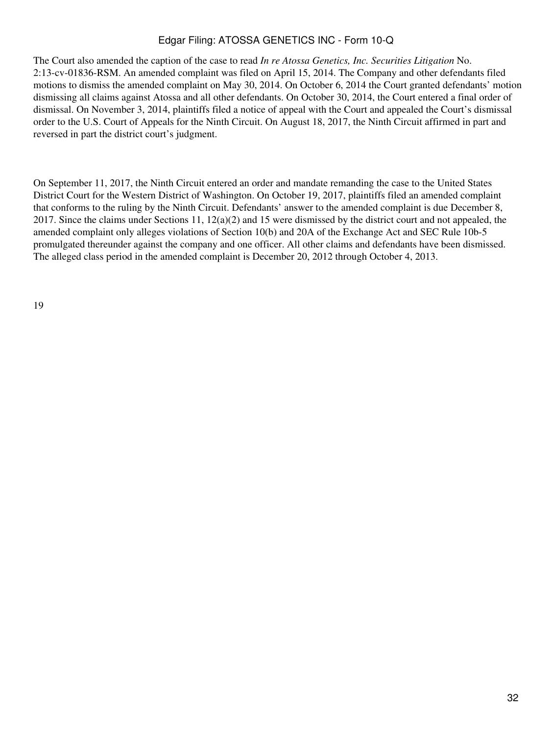The Court also amended the caption of the case to read *In re Atossa Genetics, Inc. Securities Litigation* No. 2:13-cv-01836-RSM. An amended complaint was filed on April 15, 2014. The Company and other defendants filed motions to dismiss the amended complaint on May 30, 2014. On October 6, 2014 the Court granted defendants' motion dismissing all claims against Atossa and all other defendants. On October 30, 2014, the Court entered a final order of dismissal. On November 3, 2014, plaintiffs filed a notice of appeal with the Court and appealed the Court's dismissal order to the U.S. Court of Appeals for the Ninth Circuit. On August 18, 2017, the Ninth Circuit affirmed in part and reversed in part the district court's judgment.

On September 11, 2017, the Ninth Circuit entered an order and mandate remanding the case to the United States District Court for the Western District of Washington. On October 19, 2017, plaintiffs filed an amended complaint that conforms to the ruling by the Ninth Circuit. Defendants' answer to the amended complaint is due December 8, 2017. Since the claims under Sections 11,  $12(a)(2)$  and 15 were dismissed by the district court and not appealed, the amended complaint only alleges violations of Section 10(b) and 20A of the Exchange Act and SEC Rule 10b-5 promulgated thereunder against the company and one officer. All other claims and defendants have been dismissed. The alleged class period in the amended complaint is December 20, 2012 through October 4, 2013.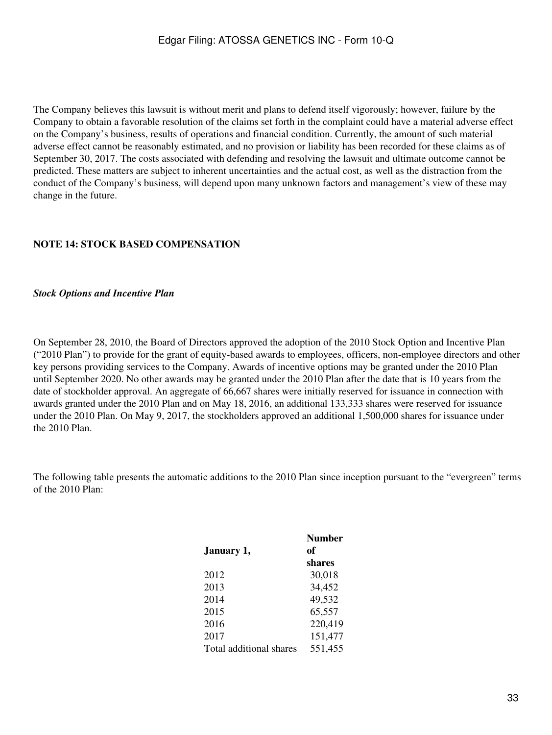The Company believes this lawsuit is without merit and plans to defend itself vigorously; however, failure by the Company to obtain a favorable resolution of the claims set forth in the complaint could have a material adverse effect on the Company's business, results of operations and financial condition. Currently, the amount of such material adverse effect cannot be reasonably estimated, and no provision or liability has been recorded for these claims as of September 30, 2017. The costs associated with defending and resolving the lawsuit and ultimate outcome cannot be predicted. These matters are subject to inherent uncertainties and the actual cost, as well as the distraction from the conduct of the Company's business, will depend upon many unknown factors and management's view of these may change in the future.

## **NOTE 14: STOCK BASED COMPENSATION**

#### *Stock Options and Incentive Plan*

On September 28, 2010, the Board of Directors approved the adoption of the 2010 Stock Option and Incentive Plan ("2010 Plan") to provide for the grant of equity-based awards to employees, officers, non-employee directors and other key persons providing services to the Company. Awards of incentive options may be granted under the 2010 Plan until September 2020. No other awards may be granted under the 2010 Plan after the date that is 10 years from the date of stockholder approval. An aggregate of 66,667 shares were initially reserved for issuance in connection with awards granted under the 2010 Plan and on May 18, 2016, an additional 133,333 shares were reserved for issuance under the 2010 Plan. On May 9, 2017, the stockholders approved an additional 1,500,000 shares for issuance under the 2010 Plan.

The following table presents the automatic additions to the 2010 Plan since inception pursuant to the "evergreen" terms of the 2010 Plan:

|                         | <b>Number</b> |
|-------------------------|---------------|
| January 1,              | of            |
|                         | shares        |
| 2012                    | 30,018        |
| 2013                    | 34,452        |
| 2014                    | 49,532        |
| 2015                    | 65,557        |
| 2016                    | 220,419       |
| 2017                    | 151,477       |
| Total additional shares | 551,455       |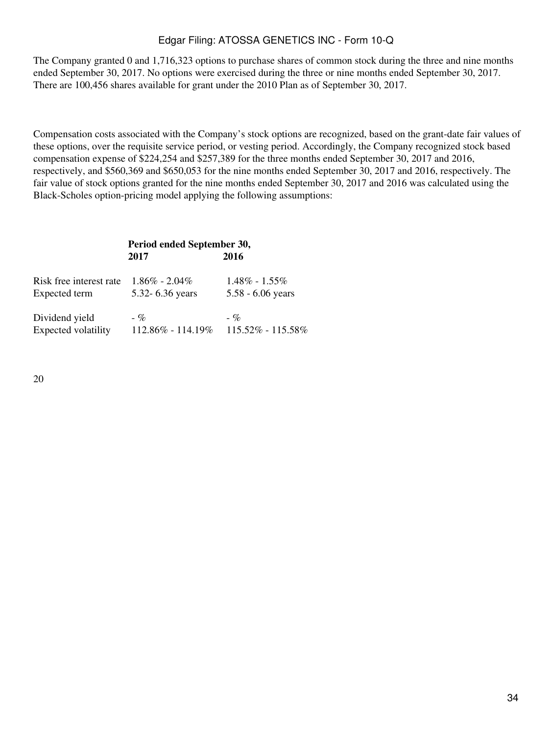The Company granted 0 and 1,716,323 options to purchase shares of common stock during the three and nine months ended September 30, 2017. No options were exercised during the three or nine months ended September 30, 2017. There are 100,456 shares available for grant under the 2010 Plan as of September 30, 2017.

Compensation costs associated with the Company's stock options are recognized, based on the grant-date fair values of these options, over the requisite service period, or vesting period. Accordingly, the Company recognized stock based compensation expense of \$224,254 and \$257,389 for the three months ended September 30, 2017 and 2016, respectively, and \$560,369 and \$650,053 for the nine months ended September 30, 2017 and 2016, respectively. The fair value of stock options granted for the nine months ended September 30, 2017 and 2016 was calculated using the Black-Scholes option-pricing model applying the following assumptions:

## **Period ended September 30, 2017 2016**

| Risk free interest rate | $1.86\% - 2.04\%$     | $1.48\% - 1.55\%$     |
|-------------------------|-----------------------|-----------------------|
| Expected term           | 5.32 - 6.36 years     | $5.58 - 6.06$ years   |
| Dividend yield          | $-$ %                 | $-$ %                 |
| Expected volatility     | $112.86\% - 114.19\%$ | $115.52\% - 115.58\%$ |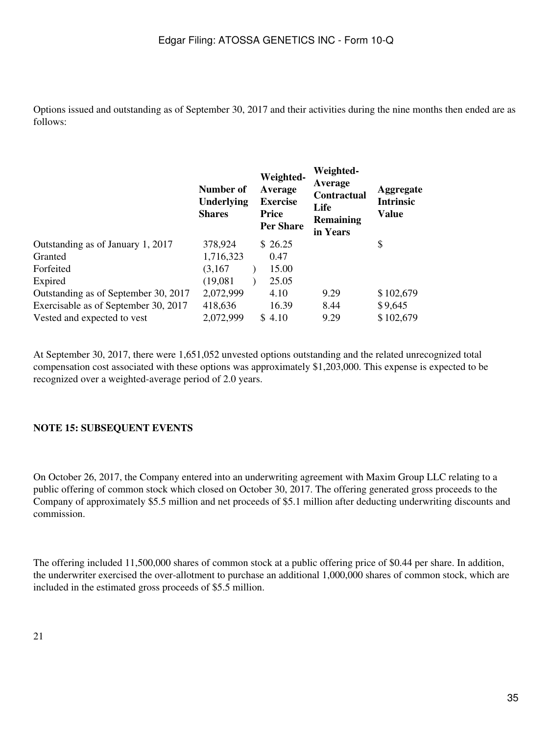Options issued and outstanding as of September 30, 2017 and their activities during the nine months then ended are as follows:

|                                      | Number of<br>Underlying<br><b>Shares</b> | Weighted-<br>Average<br><b>Exercise</b><br><b>Price</b><br><b>Per Share</b> | Weighted-<br>Average<br><b>Contractual</b><br>Life<br><b>Remaining</b><br>in Years | <b>Aggregate</b><br><b>Intrinsic</b><br><b>Value</b> |
|--------------------------------------|------------------------------------------|-----------------------------------------------------------------------------|------------------------------------------------------------------------------------|------------------------------------------------------|
| Outstanding as of January 1, 2017    | 378,924                                  | \$ 26.25                                                                    |                                                                                    | \$                                                   |
| Granted                              | 1,716,323                                | 0.47                                                                        |                                                                                    |                                                      |
| Forfeited                            | (3,167)                                  | 15.00                                                                       |                                                                                    |                                                      |
| Expired                              | (19,081)                                 | 25.05                                                                       |                                                                                    |                                                      |
| Outstanding as of September 30, 2017 | 2,072,999                                | 4.10                                                                        | 9.29                                                                               | \$102,679                                            |
| Exercisable as of September 30, 2017 | 418,636                                  | 16.39                                                                       | 8.44                                                                               | \$9,645                                              |
| Vested and expected to vest          | 2,072,999                                | \$4.10                                                                      | 9.29                                                                               | \$102,679                                            |

At September 30, 2017, there were 1,651,052 unvested options outstanding and the related unrecognized total compensation cost associated with these options was approximately \$1,203,000. This expense is expected to be recognized over a weighted-average period of 2.0 years.

## **NOTE 15: SUBSEQUENT EVENTS**

On October 26, 2017, the Company entered into an underwriting agreement with Maxim Group LLC relating to a public offering of common stock which closed on October 30, 2017. The offering generated gross proceeds to the Company of approximately \$5.5 million and net proceeds of \$5.1 million after deducting underwriting discounts and commission.

The offering included 11,500,000 shares of common stock at a public offering price of \$0.44 per share. In addition, the underwriter exercised the over-allotment to purchase an additional 1,000,000 shares of common stock, which are included in the estimated gross proceeds of \$5.5 million.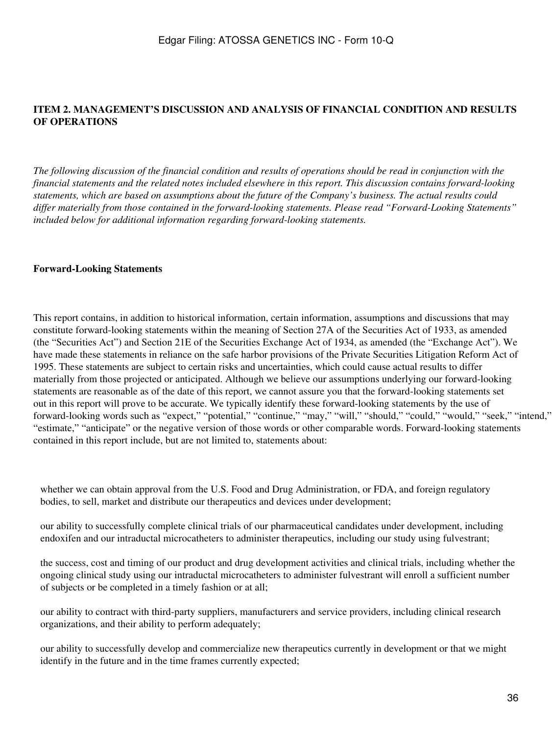## <span id="page-35-0"></span>**ITEM 2. MANAGEMENT'S DISCUSSION AND ANALYSIS OF FINANCIAL CONDITION AND RESULTS OF OPERATIONS**

*The following discussion of the financial condition and results of operations should be read in conjunction with the financial statements and the related notes included elsewhere in this report. This discussion contains forward-looking statements, which are based on assumptions about the future of the Company's business. The actual results could differ materially from those contained in the forward-looking statements. Please read "Forward-Looking Statements" included below for additional information regarding forward-looking statements.*

#### **Forward-Looking Statements**

This report contains, in addition to historical information, certain information, assumptions and discussions that may constitute forward-looking statements within the meaning of Section 27A of the Securities Act of 1933, as amended (the "Securities Act") and Section 21E of the Securities Exchange Act of 1934, as amended (the "Exchange Act"). We have made these statements in reliance on the safe harbor provisions of the Private Securities Litigation Reform Act of 1995. These statements are subject to certain risks and uncertainties, which could cause actual results to differ materially from those projected or anticipated. Although we believe our assumptions underlying our forward-looking statements are reasonable as of the date of this report, we cannot assure you that the forward-looking statements set out in this report will prove to be accurate. We typically identify these forward-looking statements by the use of forward-looking words such as "expect," "potential," "continue," "may," "will," "should," "could," "would," "seek," "intend," "estimate," "anticipate" or the negative version of those words or other comparable words. Forward-looking statements contained in this report include, but are not limited to, statements about:

whether we can obtain approval from the U.S. Food and Drug Administration, or FDA, and foreign regulatory bodies, to sell, market and distribute our therapeutics and devices under development;

our ability to successfully complete clinical trials of our pharmaceutical candidates under development, including endoxifen and our intraductal microcatheters to administer therapeutics, including our study using fulvestrant;

the success, cost and timing of our product and drug development activities and clinical trials, including whether the ongoing clinical study using our intraductal microcatheters to administer fulvestrant will enroll a sufficient number of subjects or be completed in a timely fashion or at all;

our ability to contract with third-party suppliers, manufacturers and service providers, including clinical research organizations, and their ability to perform adequately;

our ability to successfully develop and commercialize new therapeutics currently in development or that we might identify in the future and in the time frames currently expected;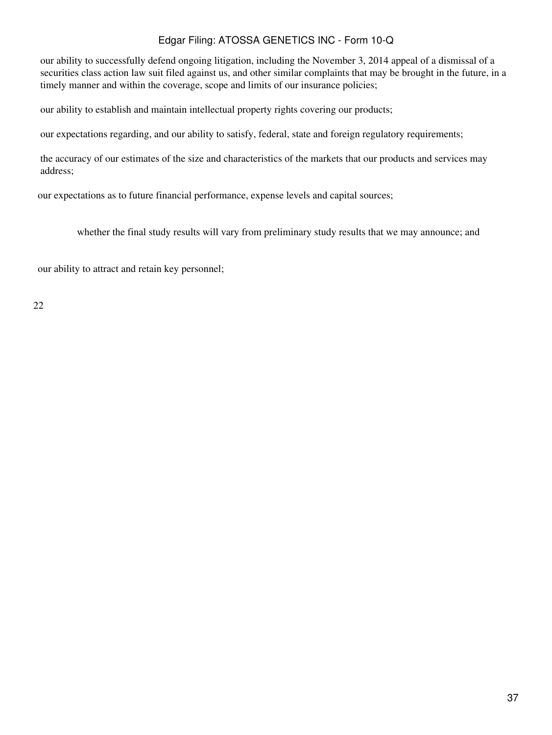our ability to successfully defend ongoing litigation, including the November 3, 2014 appeal of a dismissal of a securities class action law suit filed against us, and other similar complaints that may be brought in the future, in a timely manner and within the coverage, scope and limits of our insurance policies;

our ability to establish and maintain intellectual property rights covering our products;

our expectations regarding, and our ability to satisfy, federal, state and foreign regulatory requirements;

the accuracy of our estimates of the size and characteristics of the markets that our products and services may address;

our expectations as to future financial performance, expense levels and capital sources;

whether the final study results will vary from preliminary study results that we may announce; and

our ability to attract and retain key personnel;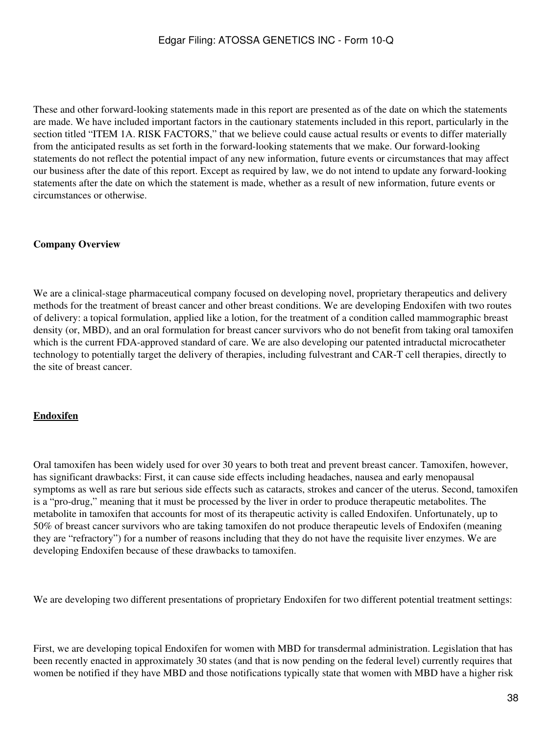These and other forward-looking statements made in this report are presented as of the date on which the statements are made. We have included important factors in the cautionary statements included in this report, particularly in the section titled "ITEM 1A. RISK FACTORS," that we believe could cause actual results or events to differ materially from the anticipated results as set forth in the forward-looking statements that we make. Our forward-looking statements do not reflect the potential impact of any new information, future events or circumstances that may affect our business after the date of this report. Except as required by law, we do not intend to update any forward-looking statements after the date on which the statement is made, whether as a result of new information, future events or circumstances or otherwise.

### **Company Overview**

We are a clinical-stage pharmaceutical company focused on developing novel, proprietary therapeutics and delivery methods for the treatment of breast cancer and other breast conditions. We are developing Endoxifen with two routes of delivery: a topical formulation, applied like a lotion, for the treatment of a condition called mammographic breast density (or, MBD), and an oral formulation for breast cancer survivors who do not benefit from taking oral tamoxifen which is the current FDA-approved standard of care. We are also developing our patented intraductal microcatheter technology to potentially target the delivery of therapies, including fulvestrant and CAR-T cell therapies, directly to the site of breast cancer.

### **Endoxifen**

Oral tamoxifen has been widely used for over 30 years to both treat and prevent breast cancer. Tamoxifen, however, has significant drawbacks: First, it can cause side effects including headaches, nausea and early menopausal symptoms as well as rare but serious side effects such as cataracts, strokes and cancer of the uterus. Second, tamoxifen is a "pro-drug," meaning that it must be processed by the liver in order to produce therapeutic metabolites. The metabolite in tamoxifen that accounts for most of its therapeutic activity is called Endoxifen. Unfortunately, up to 50% of breast cancer survivors who are taking tamoxifen do not produce therapeutic levels of Endoxifen (meaning they are "refractory") for a number of reasons including that they do not have the requisite liver enzymes. We are developing Endoxifen because of these drawbacks to tamoxifen.

We are developing two different presentations of proprietary Endoxifen for two different potential treatment settings:

First, we are developing topical Endoxifen for women with MBD for transdermal administration. Legislation that has been recently enacted in approximately 30 states (and that is now pending on the federal level) currently requires that women be notified if they have MBD and those notifications typically state that women with MBD have a higher risk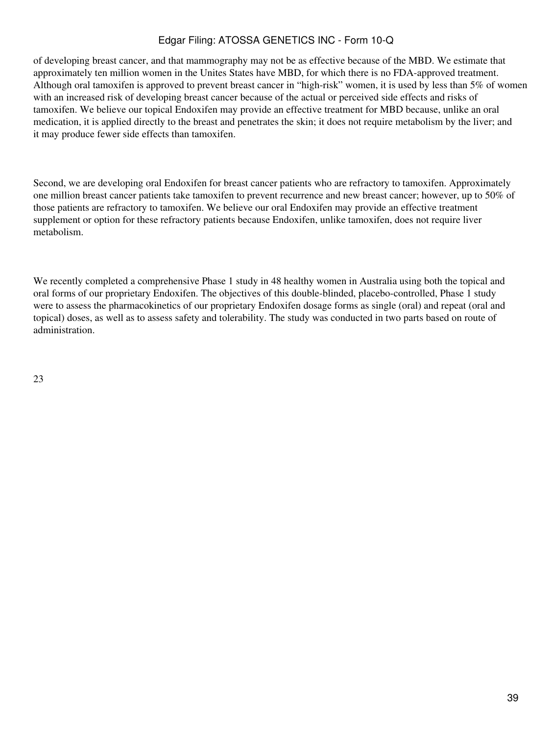of developing breast cancer, and that mammography may not be as effective because of the MBD. We estimate that approximately ten million women in the Unites States have MBD, for which there is no FDA-approved treatment. Although oral tamoxifen is approved to prevent breast cancer in "high-risk" women, it is used by less than 5% of women with an increased risk of developing breast cancer because of the actual or perceived side effects and risks of tamoxifen. We believe our topical Endoxifen may provide an effective treatment for MBD because, unlike an oral medication, it is applied directly to the breast and penetrates the skin; it does not require metabolism by the liver; and it may produce fewer side effects than tamoxifen.

Second, we are developing oral Endoxifen for breast cancer patients who are refractory to tamoxifen. Approximately one million breast cancer patients take tamoxifen to prevent recurrence and new breast cancer; however, up to 50% of those patients are refractory to tamoxifen. We believe our oral Endoxifen may provide an effective treatment supplement or option for these refractory patients because Endoxifen, unlike tamoxifen, does not require liver metabolism.

We recently completed a comprehensive Phase 1 study in 48 healthy women in Australia using both the topical and oral forms of our proprietary Endoxifen. The objectives of this double-blinded, placebo-controlled, Phase 1 study were to assess the pharmacokinetics of our proprietary Endoxifen dosage forms as single (oral) and repeat (oral and topical) doses, as well as to assess safety and tolerability. The study was conducted in two parts based on route of administration.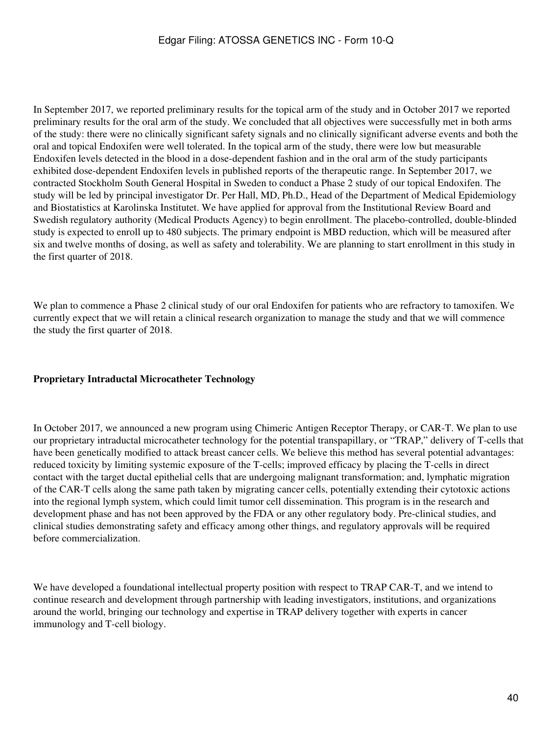In September 2017, we reported preliminary results for the topical arm of the study and in October 2017 we reported preliminary results for the oral arm of the study. We concluded that all objectives were successfully met in both arms of the study: there were no clinically significant safety signals and no clinically significant adverse events and both the oral and topical Endoxifen were well tolerated. In the topical arm of the study, there were low but measurable Endoxifen levels detected in the blood in a dose-dependent fashion and in the oral arm of the study participants exhibited dose-dependent Endoxifen levels in published reports of the therapeutic range. In September 2017, we contracted Stockholm South General Hospital in Sweden to conduct a Phase 2 study of our topical Endoxifen. The study will be led by principal investigator Dr. Per Hall, MD, Ph.D., Head of the Department of Medical Epidemiology and Biostatistics at Karolinska Institutet. We have applied for approval from the Institutional Review Board and Swedish regulatory authority (Medical Products Agency) to begin enrollment. The placebo-controlled, double-blinded study is expected to enroll up to 480 subjects. The primary endpoint is MBD reduction, which will be measured after six and twelve months of dosing, as well as safety and tolerability. We are planning to start enrollment in this study in the first quarter of 2018.

We plan to commence a Phase 2 clinical study of our oral Endoxifen for patients who are refractory to tamoxifen. We currently expect that we will retain a clinical research organization to manage the study and that we will commence the study the first quarter of 2018.

### **Proprietary Intraductal Microcatheter Technology**

In October 2017, we announced a new program using Chimeric Antigen Receptor Therapy, or CAR-T. We plan to use our proprietary intraductal microcatheter technology for the potential transpapillary, or "TRAP," delivery of T-cells that have been genetically modified to attack breast cancer cells. We believe this method has several potential advantages: reduced toxicity by limiting systemic exposure of the T-cells; improved efficacy by placing the T-cells in direct contact with the target ductal epithelial cells that are undergoing malignant transformation; and, lymphatic migration of the CAR-T cells along the same path taken by migrating cancer cells, potentially extending their cytotoxic actions into the regional lymph system, which could limit tumor cell dissemination. This program is in the research and development phase and has not been approved by the FDA or any other regulatory body. Pre-clinical studies, and clinical studies demonstrating safety and efficacy among other things, and regulatory approvals will be required before commercialization.

We have developed a foundational intellectual property position with respect to TRAP CAR-T, and we intend to continue research and development through partnership with leading investigators, institutions, and organizations around the world, bringing our technology and expertise in TRAP delivery together with experts in cancer immunology and T-cell biology.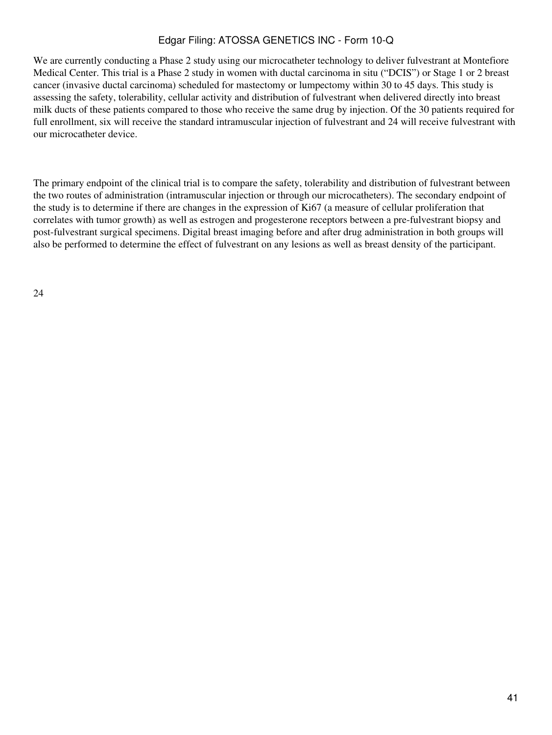We are currently conducting a Phase 2 study using our microcatheter technology to deliver fulvestrant at Montefiore Medical Center. This trial is a Phase 2 study in women with ductal carcinoma in situ ("DCIS") or Stage 1 or 2 breast cancer (invasive ductal carcinoma) scheduled for mastectomy or lumpectomy within 30 to 45 days. This study is assessing the safety, tolerability, cellular activity and distribution of fulvestrant when delivered directly into breast milk ducts of these patients compared to those who receive the same drug by injection. Of the 30 patients required for full enrollment, six will receive the standard intramuscular injection of fulvestrant and 24 will receive fulvestrant with our microcatheter device.

The primary endpoint of the clinical trial is to compare the safety, tolerability and distribution of fulvestrant between the two routes of administration (intramuscular injection or through our microcatheters). The secondary endpoint of the study is to determine if there are changes in the expression of Ki67 (a measure of cellular proliferation that correlates with tumor growth) as well as estrogen and progesterone receptors between a pre-fulvestrant biopsy and post-fulvestrant surgical specimens. Digital breast imaging before and after drug administration in both groups will also be performed to determine the effect of fulvestrant on any lesions as well as breast density of the participant.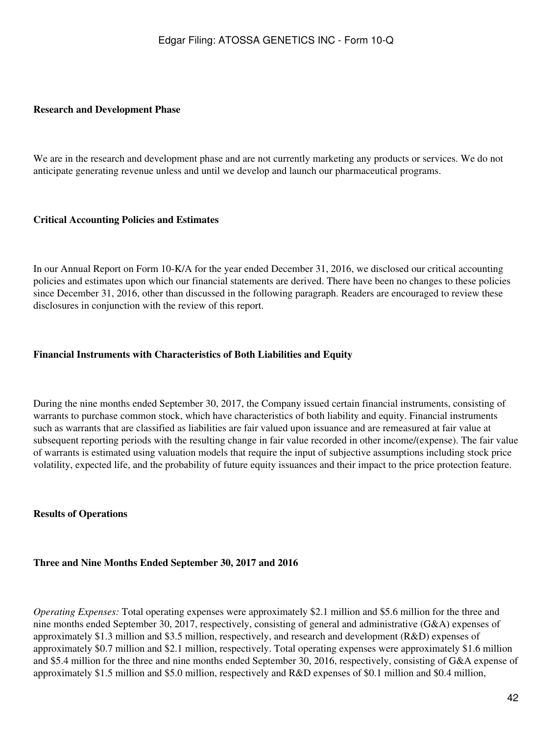#### **Research and Development Phase**

We are in the research and development phase and are not currently marketing any products or services. We do not anticipate generating revenue unless and until we develop and launch our pharmaceutical programs.

### **Critical Accounting Policies and Estimates**

In our Annual Report on Form 10-K/A for the year ended December 31, 2016, we disclosed our critical accounting policies and estimates upon which our financial statements are derived. There have been no changes to these policies since December 31, 2016, other than discussed in the following paragraph. Readers are encouraged to review these disclosures in conjunction with the review of this report.

### **Financial Instruments with Characteristics of Both Liabilities and Equity**

During the nine months ended September 30, 2017, the Company issued certain financial instruments, consisting of warrants to purchase common stock, which have characteristics of both liability and equity. Financial instruments such as warrants that are classified as liabilities are fair valued upon issuance and are remeasured at fair value at subsequent reporting periods with the resulting change in fair value recorded in other income/(expense). The fair value of warrants is estimated using valuation models that require the input of subjective assumptions including stock price volatility, expected life, and the probability of future equity issuances and their impact to the price protection feature.

#### **Results of Operations**

#### **Three and Nine Months Ended September 30, 2017 and 2016**

*Operating Expenses:* Total operating expenses were approximately \$2.1 million and \$5.6 million for the three and nine months ended September 30, 2017, respectively, consisting of general and administrative (G&A) expenses of approximately \$1.3 million and \$3.5 million, respectively, and research and development (R&D) expenses of approximately \$0.7 million and \$2.1 million, respectively. Total operating expenses were approximately \$1.6 million and \$5.4 million for the three and nine months ended September 30, 2016, respectively, consisting of G&A expense of approximately \$1.5 million and \$5.0 million, respectively and R&D expenses of \$0.1 million and \$0.4 million,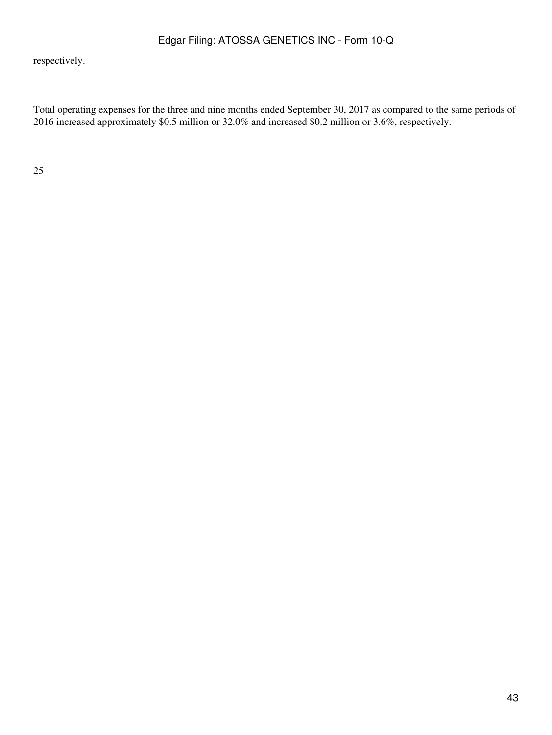respectively.

Total operating expenses for the three and nine months ended September 30, 2017 as compared to the same periods of 2016 increased approximately \$0.5 million or 32.0% and increased \$0.2 million or 3.6%, respectively.

25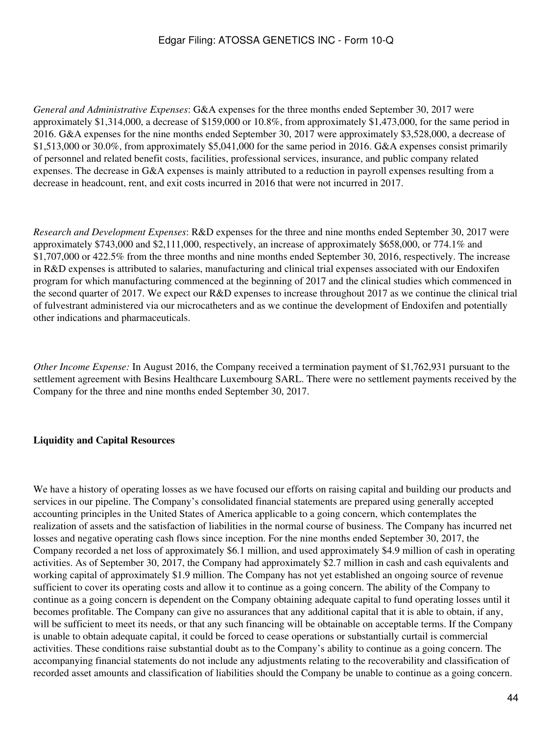*General and Administrative Expenses*: G&A expenses for the three months ended September 30, 2017 were approximately \$1,314,000, a decrease of \$159,000 or 10.8%, from approximately \$1,473,000, for the same period in 2016. G&A expenses for the nine months ended September 30, 2017 were approximately \$3,528,000, a decrease of \$1,513,000 or 30.0%, from approximately \$5,041,000 for the same period in 2016. G&A expenses consist primarily of personnel and related benefit costs, facilities, professional services, insurance, and public company related expenses. The decrease in G&A expenses is mainly attributed to a reduction in payroll expenses resulting from a decrease in headcount, rent, and exit costs incurred in 2016 that were not incurred in 2017.

*Research and Development Expenses*: R&D expenses for the three and nine months ended September 30, 2017 were approximately \$743,000 and \$2,111,000, respectively, an increase of approximately \$658,000, or 774.1% and \$1,707,000 or 422.5% from the three months and nine months ended September 30, 2016, respectively. The increase in R&D expenses is attributed to salaries, manufacturing and clinical trial expenses associated with our Endoxifen program for which manufacturing commenced at the beginning of 2017 and the clinical studies which commenced in the second quarter of 2017. We expect our R&D expenses to increase throughout 2017 as we continue the clinical trial of fulvestrant administered via our microcatheters and as we continue the development of Endoxifen and potentially other indications and pharmaceuticals.

*Other Income Expense:* In August 2016, the Company received a termination payment of \$1,762,931 pursuant to the settlement agreement with Besins Healthcare Luxembourg SARL. There were no settlement payments received by the Company for the three and nine months ended September 30, 2017.

### **Liquidity and Capital Resources**

We have a history of operating losses as we have focused our efforts on raising capital and building our products and services in our pipeline. The Company's consolidated financial statements are prepared using generally accepted accounting principles in the United States of America applicable to a going concern, which contemplates the realization of assets and the satisfaction of liabilities in the normal course of business. The Company has incurred net losses and negative operating cash flows since inception. For the nine months ended September 30, 2017, the Company recorded a net loss of approximately \$6.1 million, and used approximately \$4.9 million of cash in operating activities. As of September 30, 2017, the Company had approximately \$2.7 million in cash and cash equivalents and working capital of approximately \$1.9 million. The Company has not yet established an ongoing source of revenue sufficient to cover its operating costs and allow it to continue as a going concern. The ability of the Company to continue as a going concern is dependent on the Company obtaining adequate capital to fund operating losses until it becomes profitable. The Company can give no assurances that any additional capital that it is able to obtain, if any, will be sufficient to meet its needs, or that any such financing will be obtainable on acceptable terms. If the Company is unable to obtain adequate capital, it could be forced to cease operations or substantially curtail is commercial activities. These conditions raise substantial doubt as to the Company's ability to continue as a going concern. The accompanying financial statements do not include any adjustments relating to the recoverability and classification of recorded asset amounts and classification of liabilities should the Company be unable to continue as a going concern.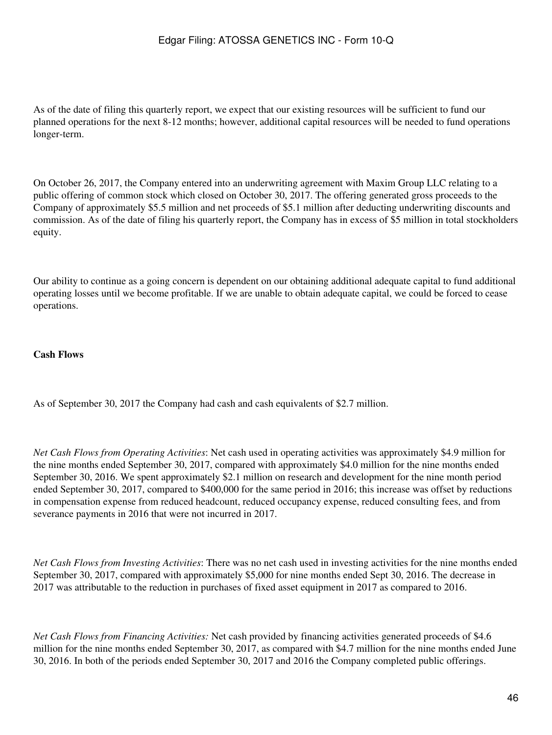As of the date of filing this quarterly report, we expect that our existing resources will be sufficient to fund our planned operations for the next 8-12 months; however, additional capital resources will be needed to fund operations longer-term.

On October 26, 2017, the Company entered into an underwriting agreement with Maxim Group LLC relating to a public offering of common stock which closed on October 30, 2017. The offering generated gross proceeds to the Company of approximately \$5.5 million and net proceeds of \$5.1 million after deducting underwriting discounts and commission. As of the date of filing his quarterly report, the Company has in excess of \$5 million in total stockholders equity.

Our ability to continue as a going concern is dependent on our obtaining additional adequate capital to fund additional operating losses until we become profitable. If we are unable to obtain adequate capital, we could be forced to cease operations.

### **Cash Flows**

As of September 30, 2017 the Company had cash and cash equivalents of \$2.7 million.

*Net Cash Flows from Operating Activities*: Net cash used in operating activities was approximately \$4.9 million for the nine months ended September 30, 2017, compared with approximately \$4.0 million for the nine months ended September 30, 2016. We spent approximately \$2.1 million on research and development for the nine month period ended September 30, 2017, compared to \$400,000 for the same period in 2016; this increase was offset by reductions in compensation expense from reduced headcount, reduced occupancy expense, reduced consulting fees, and from severance payments in 2016 that were not incurred in 2017.

*Net Cash Flows from Investing Activities*: There was no net cash used in investing activities for the nine months ended September 30, 2017, compared with approximately \$5,000 for nine months ended Sept 30, 2016. The decrease in 2017 was attributable to the reduction in purchases of fixed asset equipment in 2017 as compared to 2016.

*Net Cash Flows from Financing Activities:* Net cash provided by financing activities generated proceeds of \$4.6 million for the nine months ended September 30, 2017, as compared with \$4.7 million for the nine months ended June 30, 2016. In both of the periods ended September 30, 2017 and 2016 the Company completed public offerings.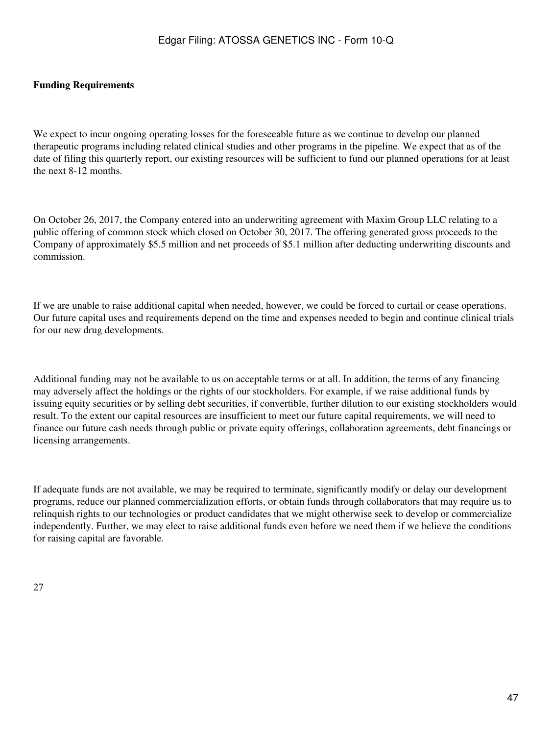### **Funding Requirements**

We expect to incur ongoing operating losses for the foreseeable future as we continue to develop our planned therapeutic programs including related clinical studies and other programs in the pipeline. We expect that as of the date of filing this quarterly report, our existing resources will be sufficient to fund our planned operations for at least the next 8-12 months.

On October 26, 2017, the Company entered into an underwriting agreement with Maxim Group LLC relating to a public offering of common stock which closed on October 30, 2017. The offering generated gross proceeds to the Company of approximately \$5.5 million and net proceeds of \$5.1 million after deducting underwriting discounts and commission.

If we are unable to raise additional capital when needed, however, we could be forced to curtail or cease operations. Our future capital uses and requirements depend on the time and expenses needed to begin and continue clinical trials for our new drug developments.

Additional funding may not be available to us on acceptable terms or at all. In addition, the terms of any financing may adversely affect the holdings or the rights of our stockholders. For example, if we raise additional funds by issuing equity securities or by selling debt securities, if convertible, further dilution to our existing stockholders would result. To the extent our capital resources are insufficient to meet our future capital requirements, we will need to finance our future cash needs through public or private equity offerings, collaboration agreements, debt financings or licensing arrangements.

If adequate funds are not available, we may be required to terminate, significantly modify or delay our development programs, reduce our planned commercialization efforts, or obtain funds through collaborators that may require us to relinquish rights to our technologies or product candidates that we might otherwise seek to develop or commercialize independently. Further, we may elect to raise additional funds even before we need them if we believe the conditions for raising capital are favorable.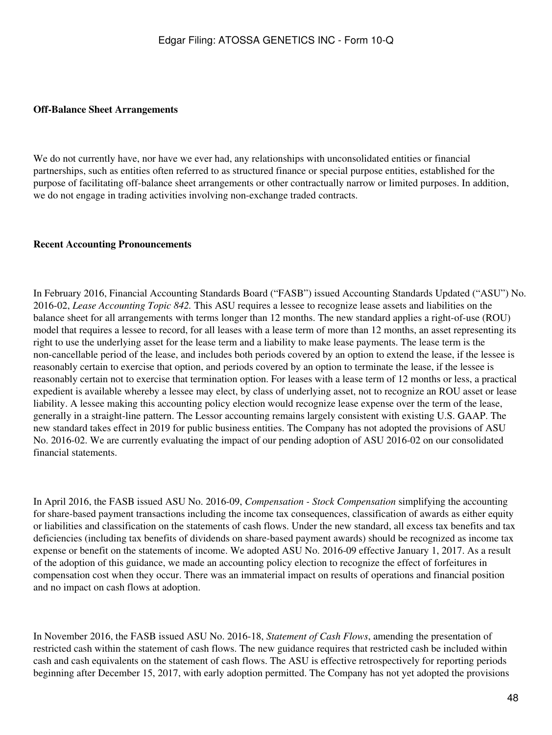#### **Off-Balance Sheet Arrangements**

We do not currently have, nor have we ever had, any relationships with unconsolidated entities or financial partnerships, such as entities often referred to as structured finance or special purpose entities, established for the purpose of facilitating off-balance sheet arrangements or other contractually narrow or limited purposes. In addition, we do not engage in trading activities involving non-exchange traded contracts.

#### **Recent Accounting Pronouncements**

In February 2016, Financial Accounting Standards Board ("FASB") issued Accounting Standards Updated ("ASU") No. 2016-02, *Lease Accounting Topic 842.* This ASU requires a lessee to recognize lease assets and liabilities on the balance sheet for all arrangements with terms longer than 12 months. The new standard applies a right-of-use (ROU) model that requires a lessee to record, for all leases with a lease term of more than 12 months, an asset representing its right to use the underlying asset for the lease term and a liability to make lease payments. The lease term is the non-cancellable period of the lease, and includes both periods covered by an option to extend the lease, if the lessee is reasonably certain to exercise that option, and periods covered by an option to terminate the lease, if the lessee is reasonably certain not to exercise that termination option. For leases with a lease term of 12 months or less, a practical expedient is available whereby a lessee may elect, by class of underlying asset, not to recognize an ROU asset or lease liability. A lessee making this accounting policy election would recognize lease expense over the term of the lease, generally in a straight-line pattern. The Lessor accounting remains largely consistent with existing U.S. GAAP. The new standard takes effect in 2019 for public business entities. The Company has not adopted the provisions of ASU No. 2016-02. We are currently evaluating the impact of our pending adoption of ASU 2016-02 on our consolidated financial statements.

In April 2016, the FASB issued ASU No. 2016-09, *Compensation - Stock Compensation* simplifying the accounting for share-based payment transactions including the income tax consequences, classification of awards as either equity or liabilities and classification on the statements of cash flows. Under the new standard, all excess tax benefits and tax deficiencies (including tax benefits of dividends on share-based payment awards) should be recognized as income tax expense or benefit on the statements of income. We adopted ASU No. 2016-09 effective January 1, 2017. As a result of the adoption of this guidance, we made an accounting policy election to recognize the effect of forfeitures in compensation cost when they occur. There was an immaterial impact on results of operations and financial position and no impact on cash flows at adoption.

In November 2016, the FASB issued ASU No. 2016-18, *Statement of Cash Flows*, amending the presentation of restricted cash within the statement of cash flows. The new guidance requires that restricted cash be included within cash and cash equivalents on the statement of cash flows. The ASU is effective retrospectively for reporting periods beginning after December 15, 2017, with early adoption permitted. The Company has not yet adopted the provisions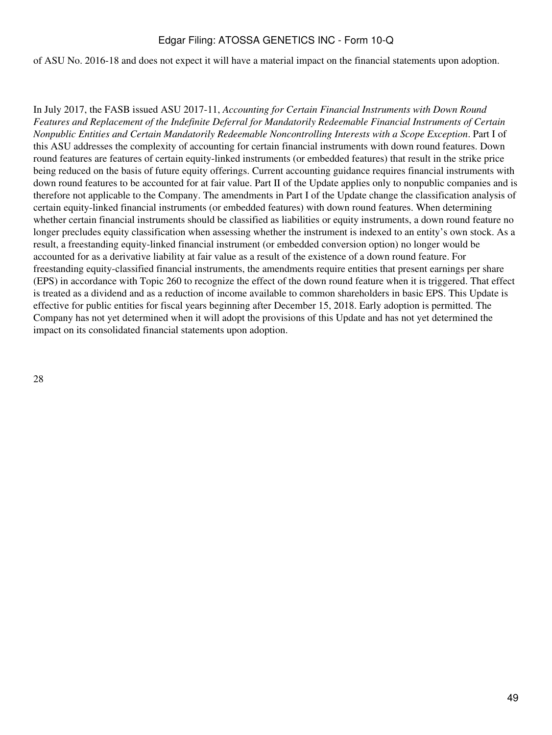#### of ASU No. 2016-18 and does not expect it will have a material impact on the financial statements upon adoption.

In July 2017, the FASB issued ASU 2017-11, *Accounting for Certain Financial Instruments with Down Round Features and Replacement of the Indefinite Deferral for Mandatorily Redeemable Financial Instruments of Certain Nonpublic Entities and Certain Mandatorily Redeemable Noncontrolling Interests with a Scope Exception*. Part I of this ASU addresses the complexity of accounting for certain financial instruments with down round features. Down round features are features of certain equity-linked instruments (or embedded features) that result in the strike price being reduced on the basis of future equity offerings. Current accounting guidance requires financial instruments with down round features to be accounted for at fair value. Part II of the Update applies only to nonpublic companies and is therefore not applicable to the Company. The amendments in Part I of the Update change the classification analysis of certain equity-linked financial instruments (or embedded features) with down round features. When determining whether certain financial instruments should be classified as liabilities or equity instruments, a down round feature no longer precludes equity classification when assessing whether the instrument is indexed to an entity's own stock. As a result, a freestanding equity-linked financial instrument (or embedded conversion option) no longer would be accounted for as a derivative liability at fair value as a result of the existence of a down round feature. For freestanding equity-classified financial instruments, the amendments require entities that present earnings per share (EPS) in accordance with Topic 260 to recognize the effect of the down round feature when it is triggered. That effect is treated as a dividend and as a reduction of income available to common shareholders in basic EPS. This Update is effective for public entities for fiscal years beginning after December 15, 2018. Early adoption is permitted. The Company has not yet determined when it will adopt the provisions of this Update and has not yet determined the impact on its consolidated financial statements upon adoption.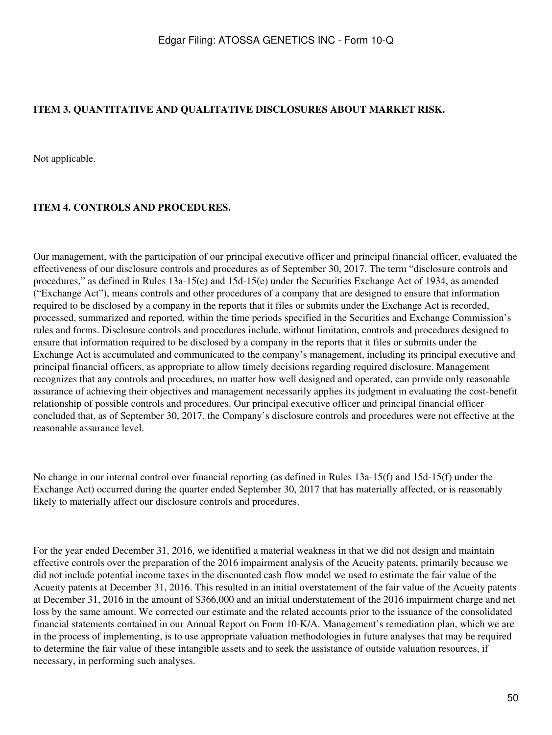## <span id="page-49-0"></span>**ITEM 3. QUANTITATIVE AND QUALITATIVE DISCLOSURES ABOUT MARKET RISK.**

Not applicable.

### <span id="page-49-1"></span>**ITEM 4. CONTROLS AND PROCEDURES.**

Our management, with the participation of our principal executive officer and principal financial officer, evaluated the effectiveness of our disclosure controls and procedures as of September 30, 2017. The term "disclosure controls and procedures," as defined in Rules 13a-15(e) and 15d-15(e) under the Securities Exchange Act of 1934, as amended ("Exchange Act"), means controls and other procedures of a company that are designed to ensure that information required to be disclosed by a company in the reports that it files or submits under the Exchange Act is recorded, processed, summarized and reported, within the time periods specified in the Securities and Exchange Commission's rules and forms. Disclosure controls and procedures include, without limitation, controls and procedures designed to ensure that information required to be disclosed by a company in the reports that it files or submits under the Exchange Act is accumulated and communicated to the company's management, including its principal executive and principal financial officers, as appropriate to allow timely decisions regarding required disclosure. Management recognizes that any controls and procedures, no matter how well designed and operated, can provide only reasonable assurance of achieving their objectives and management necessarily applies its judgment in evaluating the cost-benefit relationship of possible controls and procedures. Our principal executive officer and principal financial officer concluded that, as of September 30, 2017, the Company's disclosure controls and procedures were not effective at the reasonable assurance level.

No change in our internal control over financial reporting (as defined in Rules 13a-15(f) and 15d-15(f) under the Exchange Act) occurred during the quarter ended September 30, 2017 that has materially affected, or is reasonably likely to materially affect our disclosure controls and procedures.

For the year ended December 31, 2016, we identified a material weakness in that we did not design and maintain effective controls over the preparation of the 2016 impairment analysis of the Acueity patents, primarily because we did not include potential income taxes in the discounted cash flow model we used to estimate the fair value of the Acueity patents at December 31, 2016. This resulted in an initial overstatement of the fair value of the Acueity patents at December 31, 2016 in the amount of \$366,000 and an initial understatement of the 2016 impairment charge and net loss by the same amount. We corrected our estimate and the related accounts prior to the issuance of the consolidated financial statements contained in our Annual Report on Form 10-K/A. Management's remediation plan, which we are in the process of implementing, is to use appropriate valuation methodologies in future analyses that may be required to determine the fair value of these intangible assets and to seek the assistance of outside valuation resources, if necessary, in performing such analyses.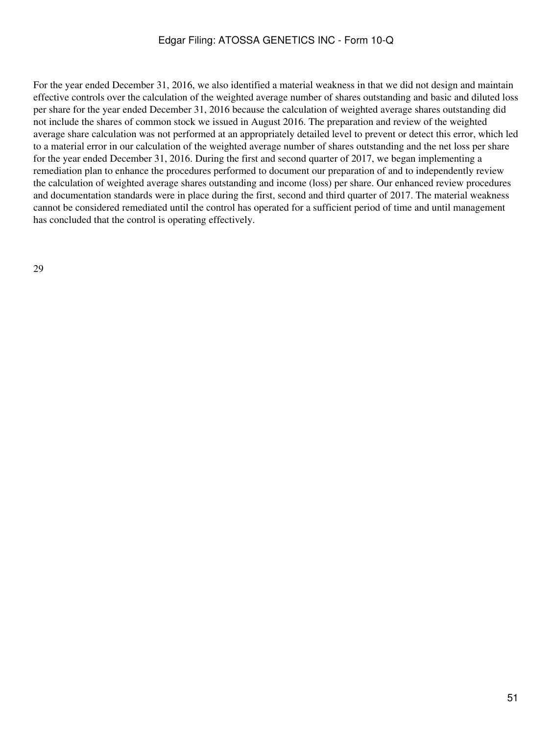For the year ended December 31, 2016, we also identified a material weakness in that we did not design and maintain effective controls over the calculation of the weighted average number of shares outstanding and basic and diluted loss per share for the year ended December 31, 2016 because the calculation of weighted average shares outstanding did not include the shares of common stock we issued in August 2016. The preparation and review of the weighted average share calculation was not performed at an appropriately detailed level to prevent or detect this error, which led to a material error in our calculation of the weighted average number of shares outstanding and the net loss per share for the year ended December 31, 2016. During the first and second quarter of 2017, we began implementing a remediation plan to enhance the procedures performed to document our preparation of and to independently review the calculation of weighted average shares outstanding and income (loss) per share. Our enhanced review procedures and documentation standards were in place during the first, second and third quarter of 2017. The material weakness cannot be considered remediated until the control has operated for a sufficient period of time and until management has concluded that the control is operating effectively.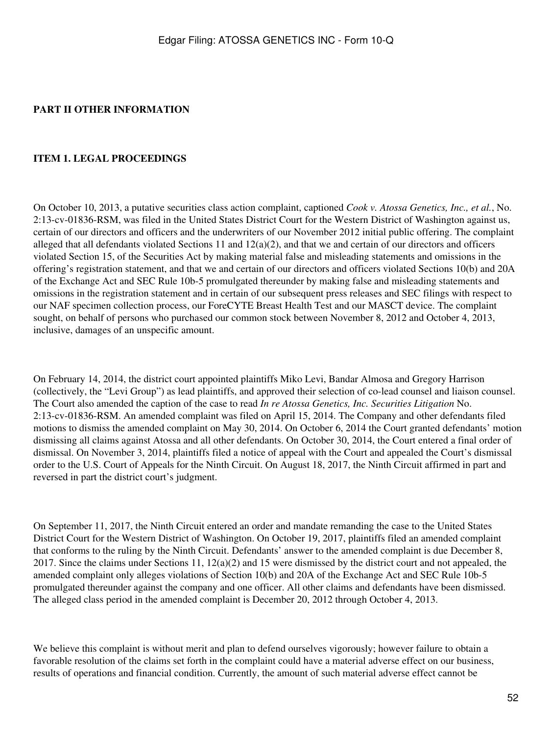### <span id="page-51-0"></span>**PART II OTHER INFORMATION**

#### <span id="page-51-1"></span>**ITEM 1. LEGAL PROCEEDINGS**

On October 10, 2013, a putative securities class action complaint, captioned *Cook v. Atossa Genetics, Inc., et al.*, No. 2:13-cv-01836-RSM, was filed in the United States District Court for the Western District of Washington against us, certain of our directors and officers and the underwriters of our November 2012 initial public offering. The complaint alleged that all defendants violated Sections 11 and  $12(a)(2)$ , and that we and certain of our directors and officers violated Section 15, of the Securities Act by making material false and misleading statements and omissions in the offering's registration statement, and that we and certain of our directors and officers violated Sections 10(b) and 20A of the Exchange Act and SEC Rule 10b-5 promulgated thereunder by making false and misleading statements and omissions in the registration statement and in certain of our subsequent press releases and SEC filings with respect to our NAF specimen collection process, our ForeCYTE Breast Health Test and our MASCT device. The complaint sought, on behalf of persons who purchased our common stock between November 8, 2012 and October 4, 2013, inclusive, damages of an unspecific amount.

On February 14, 2014, the district court appointed plaintiffs Miko Levi, Bandar Almosa and Gregory Harrison (collectively, the "Levi Group") as lead plaintiffs, and approved their selection of co-lead counsel and liaison counsel. The Court also amended the caption of the case to read *In re Atossa Genetics, Inc. Securities Litigation* No. 2:13-cv-01836-RSM. An amended complaint was filed on April 15, 2014. The Company and other defendants filed motions to dismiss the amended complaint on May 30, 2014. On October 6, 2014 the Court granted defendants' motion dismissing all claims against Atossa and all other defendants. On October 30, 2014, the Court entered a final order of dismissal. On November 3, 2014, plaintiffs filed a notice of appeal with the Court and appealed the Court's dismissal order to the U.S. Court of Appeals for the Ninth Circuit. On August 18, 2017, the Ninth Circuit affirmed in part and reversed in part the district court's judgment.

On September 11, 2017, the Ninth Circuit entered an order and mandate remanding the case to the United States District Court for the Western District of Washington. On October 19, 2017, plaintiffs filed an amended complaint that conforms to the ruling by the Ninth Circuit. Defendants' answer to the amended complaint is due December 8, 2017. Since the claims under Sections 11,  $12(a)(2)$  and 15 were dismissed by the district court and not appealed, the amended complaint only alleges violations of Section 10(b) and 20A of the Exchange Act and SEC Rule 10b-5 promulgated thereunder against the company and one officer. All other claims and defendants have been dismissed. The alleged class period in the amended complaint is December 20, 2012 through October 4, 2013.

We believe this complaint is without merit and plan to defend ourselves vigorously; however failure to obtain a favorable resolution of the claims set forth in the complaint could have a material adverse effect on our business, results of operations and financial condition. Currently, the amount of such material adverse effect cannot be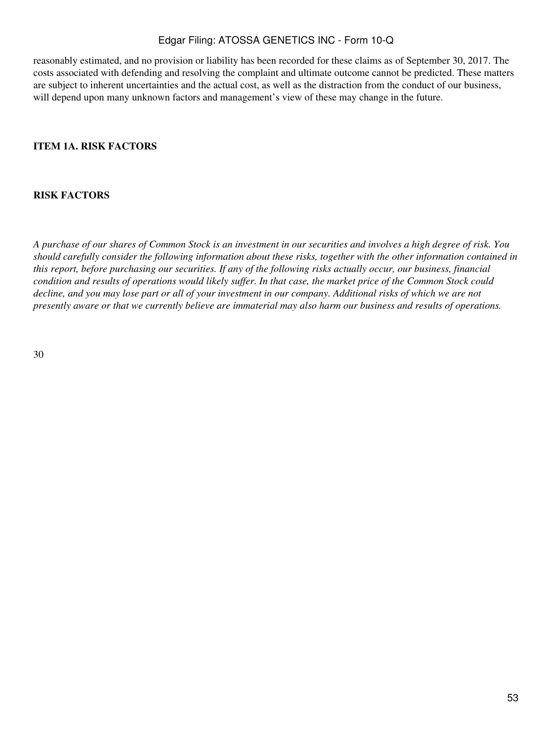reasonably estimated, and no provision or liability has been recorded for these claims as of September 30, 2017. The costs associated with defending and resolving the complaint and ultimate outcome cannot be predicted. These matters are subject to inherent uncertainties and the actual cost, as well as the distraction from the conduct of our business, will depend upon many unknown factors and management's view of these may change in the future.

### <span id="page-52-0"></span>**ITEM 1A. RISK FACTORS**

#### **RISK FACTORS**

*A purchase of our shares of Common Stock is an investment in our securities and involves a high degree of risk. You should carefully consider the following information about these risks, together with the other information contained in this report, before purchasing our securities. If any of the following risks actually occur, our business, financial condition and results of operations would likely suffer. In that case, the market price of the Common Stock could decline, and you may lose part or all of your investment in our company. Additional risks of which we are not presently aware or that we currently believe are immaterial may also harm our business and results of operations.*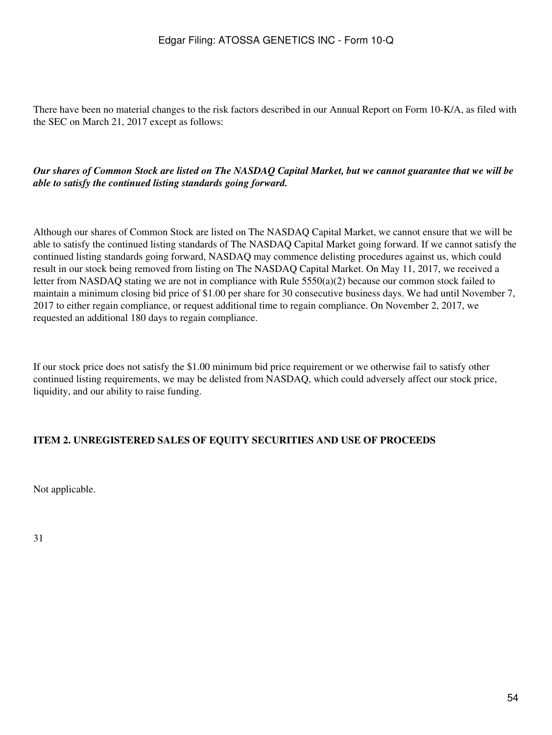There have been no material changes to the risk factors described in our Annual Report on Form 10-K/A, as filed with the SEC on March 21, 2017 except as follows:

### *Our shares of Common Stock are listed on The NASDAQ Capital Market, but we cannot guarantee that we will be able to satisfy the continued listing standards going forward.*

Although our shares of Common Stock are listed on The NASDAQ Capital Market, we cannot ensure that we will be able to satisfy the continued listing standards of The NASDAQ Capital Market going forward. If we cannot satisfy the continued listing standards going forward, NASDAQ may commence delisting procedures against us, which could result in our stock being removed from listing on The NASDAQ Capital Market. On May 11, 2017, we received a letter from NASDAQ stating we are not in compliance with Rule 5550(a)(2) because our common stock failed to maintain a minimum closing bid price of \$1.00 per share for 30 consecutive business days. We had until November 7, 2017 to either regain compliance, or request additional time to regain compliance. On November 2, 2017, we requested an additional 180 days to regain compliance.

If our stock price does not satisfy the \$1.00 minimum bid price requirement or we otherwise fail to satisfy other continued listing requirements, we may be delisted from NASDAQ, which could adversely affect our stock price, liquidity, and our ability to raise funding.

### <span id="page-53-0"></span>**ITEM 2. UNREGISTERED SALES OF EQUITY SECURITIES AND USE OF PROCEEDS**

Not applicable.

31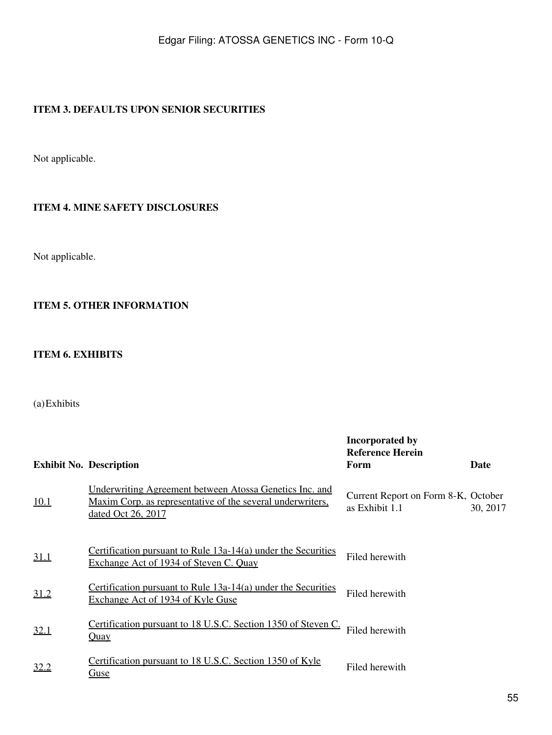## <span id="page-54-0"></span>**ITEM 3. DEFAULTS UPON SENIOR SECURITIES**

Not applicable.

### <span id="page-54-1"></span>**ITEM 4. MINE SAFETY DISCLOSURES**

Not applicable.

## <span id="page-54-2"></span>**ITEM 5. OTHER INFORMATION**

### <span id="page-54-3"></span>**ITEM 6. EXHIBITS**

## (a)Exhibits

|             | <b>Exhibit No. Description</b>                                                                                                                            | <b>Incorporated by</b><br><b>Reference Herein</b><br>Form | <b>Date</b> |
|-------------|-----------------------------------------------------------------------------------------------------------------------------------------------------------|-----------------------------------------------------------|-------------|
| 10.1        | <u>Underwriting Agreement between Atossa Genetics Inc. and</u><br><u>Maxim Corp.</u> as representative of the several underwriters.<br>dated Oct 26, 2017 | Current Report on Form 8-K, October<br>as Exhibit 1.1     | 30, 2017    |
| 31.1        | Certification pursuant to Rule 13a-14(a) under the Securities<br>Exchange Act of 1934 of Steven C. Quay                                                   | Filed herewith                                            |             |
| <u>31.2</u> | Certification pursuant to Rule 13a-14(a) under the Securities<br>Exchange Act of 1934 of Kyle Guse                                                        | Filed herewith                                            |             |
| 32.1        | Certification pursuant to 18 U.S.C. Section 1350 of Steven C.<br><u>Quay</u>                                                                              | Filed herewith                                            |             |
| 32.2        | Certification pursuant to 18 U.S.C. Section 1350 of Kyle<br><u>Guse</u>                                                                                   | Filed herewith                                            |             |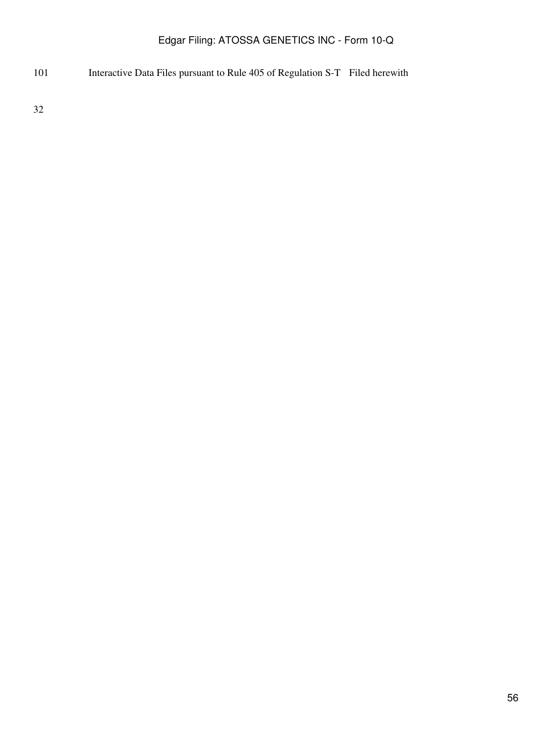Interactive Data Files pursuant to Rule 405 of Regulation S-T Filed herewith